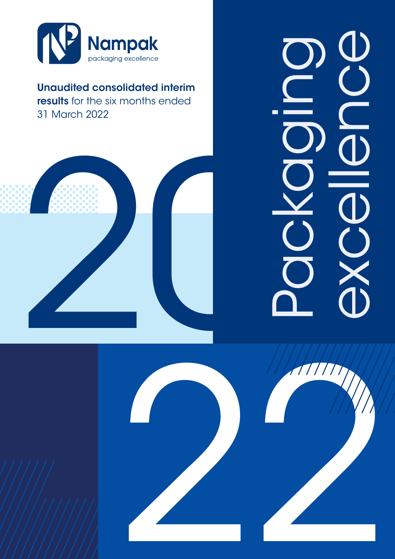

Unaudited consolidated interim results for the six months ended 31 March 2022

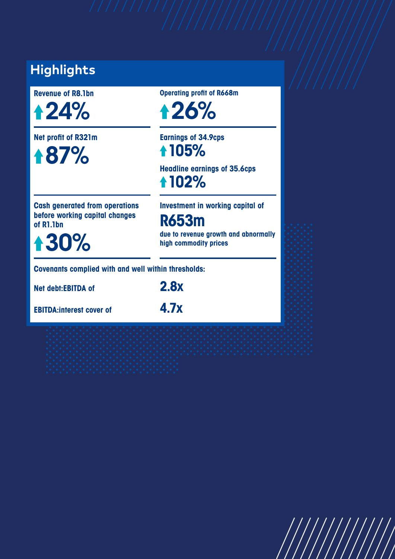## **Highlights**

**Revenue of R8.1bn**

24%

**Net profit of R321m**

87%

**Operating profit of R668m**

26%

**Earnings of 34.9cps 105%**

**Headline earnings of 35.6cps 102%**

**Cash generated from operations before working capital changes of R1.1bn**

30%

**Investment in working capital of**

**R653m**

**due to revenue growth and abnormally high commodity prices**

**Covenants complied with and well within thresholds:**

**Net debt:EBITDA of 2.8x**

**EBITDA:interest cover of 4.7x**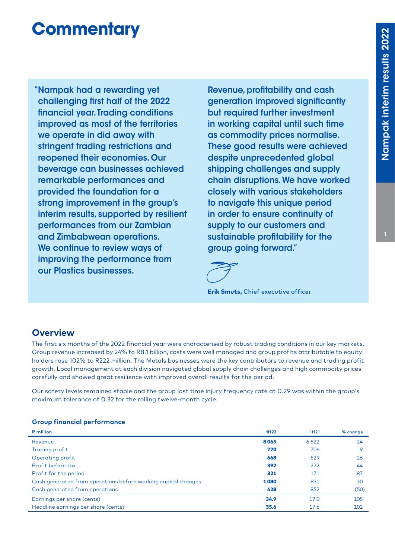# **Commentary**

"Nampak had a rewarding yet challenging first half of the 2022 financial year. Trading conditions improved as most of the territories we operate in did away with stringent trading restrictions and reopened their economies. Our beverage can businesses achieved remarkable performances and provided the foundation for a strong improvement in the group's interim results, supported by resilient performances from our Zambian and Zimbabwean operations. We continue to review ways of improving the performance from our Plastics businesses.

 Revenue, profitability and cash generation improved significantly but required further investment in working capital until such time as commodity prices normalise. These good results were achieved despite unprecedented global shipping challenges and supply chain disruptions. We have worked closely with various stakeholders to navigate this unique period in order to ensure continuity of supply to our customers and sustainable profitability for the group going forward."

Erik Smuts, Chief executive officer

## **Overview**

The first six months of the 2022 financial year were characterised by robust trading conditions in our key markets. Group revenue increased by 24% to R8.1 billion, costs were well managed and group profits attributable to equity holders rose 102% to R222 million. The Metals businesses were the key contributors to revenue and trading profit growth. Local management at each division navigated global supply chain challenges and high commodity prices carefully and showed great resilience with improved overall results for the period.

Our safety levels remained stable and the group lost time injury frequency rate at 0.29 was within the group's maximum tolerance of 0.32 for the rolling twelve-month cycle.

#### **Group financial performance**

| R million                                                     | <b>1H22</b> | 1H <sub>21</sub> | % change |
|---------------------------------------------------------------|-------------|------------------|----------|
| Revenue                                                       | 8065        | 6522             | 24       |
| Trading profit                                                | 770         | 706              | $\circ$  |
| Operating profit                                              | 668         | 529              | 26       |
| Profit before tax                                             | 392         | 272              | 44       |
| Profit for the period                                         | 321         | 171              | 87       |
| Cash generated from operations before working capital changes | 1080        | 831              | 30       |
| Cash generated from operations                                | 428         | 852              | (50)     |
| Earnings per share (cents)                                    | 34.9        | 17.0             | 105      |
| Headline earnings per share (cents)                           | 35.6        | 17.6             | 102      |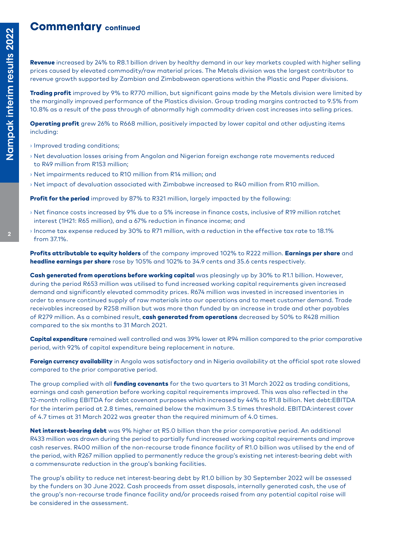## **Commentary continued**

Revenue increased by 24% to R8.1 billion driven by healthy demand in our key markets coupled with higher selling prices caused by elevated commodity/raw material prices. The Metals division was the largest contributor to revenue growth supported by Zambian and Zimbabwean operations within the Plastic and Paper divisions.

**Trading profit** improved by 9% to R770 million, but significant gains made by the Metals division were limited by the marginally improved performance of the Plastics division. Group trading margins contracted to 9.5% from 10.8% as a result of the pass through of abnormally high commodity driven cost increases into selling prices.

**Operating profit** grew 26% to R668 million, positively impacted by lower capital and other adjusting items including:

- **›** Improved trading conditions;
- **›** Net devaluation losses arising from Angolan and Nigerian foreign exchange rate movements reduced to R49 million from R153 million;
- **›** Net impairments reduced to R10 million from R14 million; and
- **›** Net impact of devaluation associated with Zimbabwe increased to R40 million from R10 million.

Profit for the period improved by 87% to R321 million, largely impacted by the following:

- **›** Net finance costs increased by 9% due to a 5% increase in finance costs, inclusive of R19 million ratchet interest (1H21: R65 million), and a 67% reduction in finance income; and
- **›** Income tax expense reduced by 30% to R71 million, with a reduction in the effective tax rate to 18.1% from 37.1%.

Profits attributable to equity holders of the company improved 102% to R222 million. Earnings per share and headline earnings per share rose by 105% and 102% to 34.9 cents and 35.6 cents respectively.

Cash generated from operations before working capital was pleasingly up by 30% to R1.1 billion. However, during the period R653 million was utilised to fund increased working capital requirements given increased demand and significantly elevated commodity prices. R674 million was invested in increased inventories in order to ensure continued supply of raw materials into our operations and to meet customer demand. Trade receivables increased by R258 million but was more than funded by an increase in trade and other payables of R279 million. As a combined result, cash generated from operations decreased by 50% to R428 million compared to the six months to 31 March 2021.

Capital expenditure remained well controlled and was 39% lower at R94 million compared to the prior comparative period, with 92% of capital expenditure being replacement in nature.

Foreign currency availability in Angola was satisfactory and in Nigeria availability at the official spot rate slowed compared to the prior comparative period.

The group complied with all funding covenants for the two quarters to 31 March 2022 as trading conditions, earnings and cash generation before working capital requirements improved. This was also reflected in the 12-month rolling EBITDA for debt covenant purposes which increased by 44% to R1.8 billion. Net debt:EBITDA for the interim period at 2.8 times, remained below the maximum 3.5 times threshold. EBITDA:interest cover of 4.7 times at 31 March 2022 was greater than the required minimum of 4.0 times.

Net interest-bearing debt was 9% higher at R5.0 billion than the prior comparative period. An additional R433 million was drawn during the period to partially fund increased working capital requirements and improve cash reserves. R400 million of the non-recourse trade finance facility of R1.0 billion was utilised by the end of the period, with R267 million applied to permanently reduce the group's existing net interest-bearing debt with a commensurate reduction in the group's banking facilities.

The group's ability to reduce net interest-bearing debt by R1.0 billion by 30 September 2022 will be assessed by the funders on 30 June 2022. Cash proceeds from asset disposals, internally generated cash, the use of the group's non-recourse trade finance facility and/or proceeds raised from any potential capital raise will be considered in the assessment.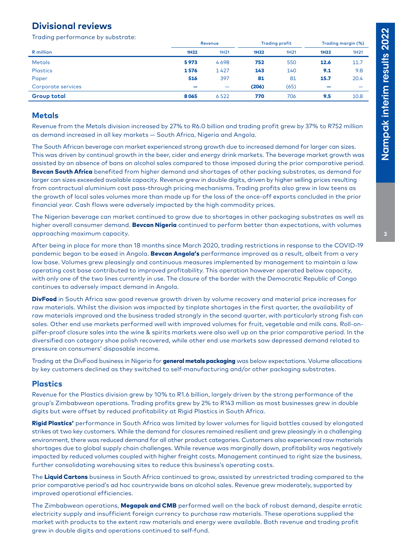## **Divisional reviews**

Trading performance by substrate:

|                    |        | Revenue                  |             | <b>Trading profit</b> |                          | Trading margin (%) |
|--------------------|--------|--------------------------|-------------|-----------------------|--------------------------|--------------------|
| R million          | 1H22   | 1H <sub>21</sub>         | <b>1H22</b> | 1H21                  | 1H22                     | 1H <sub>21</sub>   |
| <b>Metals</b>      | 5973   | 4698                     | 752         | 550                   | 12.6                     | 11.7               |
| <b>Plastics</b>    | 1576   | 1427                     | 143         | 140                   | 9.1                      | 9.8                |
| Paper              | 516    | 397                      | 81          | 81                    | 15.7                     | 20.4               |
| Corporate services | $\sim$ | $\overline{\phantom{m}}$ | (206)       | (65)                  | $\overline{\phantom{a}}$ |                    |
| <b>Group total</b> | 8065   | 6522                     | 770         | 706                   | 9.5                      | 10.8               |

#### **Metals**

Revenue from the Metals division increased by 27% to R6.0 billion and trading profit grew by 37% to R752 million as demand increased in all key markets — South Africa, Nigeria and Angola.

The South African beverage can market experienced strong growth due to increased demand for larger can sizes. This was driven by continual growth in the beer, cider and energy drink markets. The beverage market growth was assisted by an absence of bans on alcohol sales compared to those imposed during the prior comparative period. Bevcan South Africa benefited from higher demand and shortages of other packing substrates, as demand for larger can sizes exceeded available capacity. Revenue grew in double digits, driven by higher selling prices resulting from contractual aluminium cost pass-through pricing mechanisms. Trading profits also grew in low teens as the growth of local sales volumes more than made up for the loss of the once-off exports concluded in the prior financial year. Cash flows were adversely impacted by the high commodity prices.

The Nigerian beverage can market continued to grow due to shortages in other packaging substrates as well as higher overall consumer demand. Bevcan Nigeria continued to perform better than expectations, with volumes approaching maximum capacity.

After being in place for more than 18 months since March 2020, trading restrictions in response to the COVID-19 pandemic began to be eased in Angola. Bevcan Angola's performance improved as a result, albeit from a very low base. Volumes grew pleasingly and continuous measures implemented by management to maintain a low operating cost base contributed to improved profitability. This operation however operated below capacity, with only one of the two lines currently in use. The closure of the border with the Democratic Republic of Congo continues to adversely impact demand in Angola.

**DivFood** in South Africa saw good revenue growth driven by volume recovery and material price increases for raw materials. Whilst the division was impacted by tinplate shortages in the first quarter, the availability of raw materials improved and the business traded strongly in the second quarter, with particularly strong fish can sales. Other end use markets performed well with improved volumes for fruit, vegetable and milk cans. Roll-onpilfer-proof closure sales into the wine & spirits markets were also well up on the prior comparative period. In the diversified can category shoe polish recovered, while other end use markets saw depressed demand related to pressure on consumers' disposable income.

Trading at the DivFood business in Nigeria for general metals packaging was below expectations. Volume allocations by key customers declined as they switched to self-manufacturing and/or other packaging substrates.

#### **Plastics**

Revenue for the Plastics division grew by 10% to R1.6 billion, largely driven by the strong performance of the group's Zimbabwean operations. Trading profits grew by 2% to R143 million as most businesses grew in double digits but were offset by reduced profitability at Rigid Plastics in South Africa.

Rigid Plastics' performance in South Africa was limited by lower volumes for liquid bottles caused by elongated strikes at two key customers. While the demand for closures remained resilient and grew pleasingly in a challenging environment, there was reduced demand for all other product categories. Customers also experienced raw materials shortages due to global supply chain challenges. While revenue was marginally down, profitability was negatively impacted by reduced volumes coupled with higher freight costs. Management continued to right size the business, further consolidating warehousing sites to reduce this business's operating costs.

The Liquid Cartons business in South Africa continued to grow, assisted by unrestricted trading compared to the prior comparative period's ad hoc countrywide bans on alcohol sales. Revenue grew moderately, supported by improved operational efficiencies.

The Zimbabwean operations, Megapak and CMB performed well on the back of robust demand, despite erratic electricity supply and insufficient foreign currency to purchase raw materials. These operations supplied the market with products to the extent raw materials and energy were available. Both revenue and trading profit grew in double digits and operations continued to self-fund.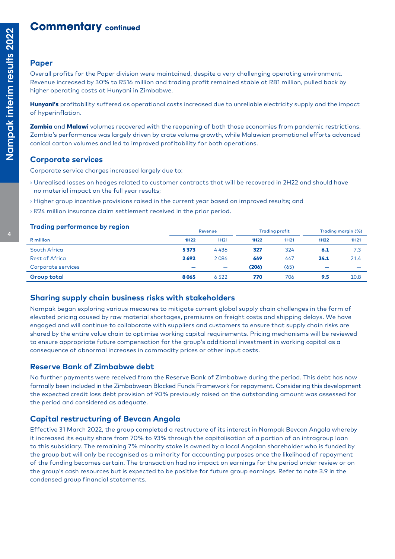## **Commentary continued**

#### **Paper**

Overall profits for the Paper division were maintained, despite a very challenging operating environment. Revenue increased by 30% to R516 million and trading profit remained stable at R81 million, pulled back by higher operating costs at Hunyani in Zimbabwe.

Hunyani's profitability suffered as operational costs increased due to unreliable electricity supply and the impact of hyperinflation.

Zambia and Malawi volumes recovered with the reopening of both those economies from pandemic restrictions. Zambia's performance was largely driven by crate volume growth, while Malawian promotional efforts advanced conical carton volumes and led to improved profitability for both operations.

#### **Corporate services**

Corporate service charges increased largely due to:

- **›** Unrealised losses on hedges related to customer contracts that will be recovered in 2H22 and should have no material impact on the full year results;
- **›** Higher group incentive provisions raised in the current year based on improved results; and
- **›** R24 million insurance claim settlement received in the prior period.

| <b>Trading performance by region</b> |                          | Revenue                  | <b>Trading profit</b> |      | Trading margin (%)       |      |
|--------------------------------------|--------------------------|--------------------------|-----------------------|------|--------------------------|------|
| R million                            | <b>1H22</b>              | 1H21                     | 1H <sub>22</sub>      | 1H21 | 1H <sub>22</sub>         | 1H21 |
| South Africa                         | 5373                     | 4436                     | 327                   | 324  | 6.1                      | 7.3  |
| <b>Rest of Africa</b>                | 2692                     | 2086                     | 649                   | 447  | 24.1                     | 21.4 |
| Corporate services                   | $\overline{\phantom{a}}$ | $\overline{\phantom{m}}$ | (206)                 | (65) | $\overline{\phantom{a}}$ |      |
| <b>Group total</b>                   | 8065                     | 6522                     | 770                   | 706  | 9.5                      | 10.8 |

#### **Sharing supply chain business risks with stakeholders**

Nampak began exploring various measures to mitigate current global supply chain challenges in the form of elevated pricing caused by raw material shortages, premiums on freight costs and shipping delays. We have engaged and will continue to collaborate with suppliers and customers to ensure that supply chain risks are shared by the entire value chain to optimise working capital requirements. Pricing mechanisms will be reviewed to ensure appropriate future compensation for the group's additional investment in working capital as a consequence of abnormal increases in commodity prices or other input costs.

#### **Reserve Bank of Zimbabwe debt**

No further payments were received from the Reserve Bank of Zimbabwe during the period. This debt has now formally been included in the Zimbabwean Blocked Funds Framework for repayment. Considering this development the expected credit loss debt provision of 90% previously raised on the outstanding amount was assessed for the period and considered as adequate.

### **Capital restructuring of Bevcan Angola**

Effective 31 March 2022, the group completed a restructure of its interest in Nampak Bevcan Angola whereby it increased its equity share from 70% to 93% through the capitalisation of a portion of an intragroup loan to this subsidiary. The remaining 7% minority stake is owned by a local Angolan shareholder who is funded by the group but will only be recognised as a minority for accounting purposes once the likelihood of repayment of the funding becomes certain. The transaction had no impact on earnings for the period under review or on the group's cash resources but is expected to be positive for future group earnings. Refer to note 3.9 in the condensed group financial statements.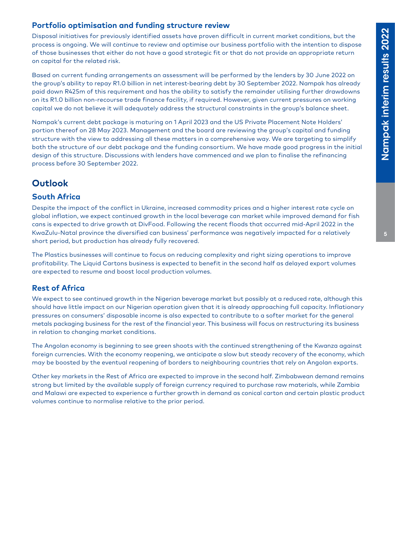## **Portfolio optimisation and funding structure review**

Disposal initiatives for previously identified assets have proven difficult in current market conditions, but the process is ongoing. We will continue to review and optimise our business portfolio with the intention to dispose of those businesses that either do not have a good strategic fit or that do not provide an appropriate return on capital for the related risk.

Based on current funding arrangements an assessment will be performed by the lenders by 30 June 2022 on the group's ability to repay R1.0 billion in net interest-bearing debt by 30 September 2022. Nampak has already paid down R425m of this requirement and has the ability to satisfy the remainder utilising further drawdowns on its R1.0 billion non-recourse trade finance facility, if required. However, given current pressures on working capital we do not believe it will adequately address the structural constraints in the group's balance sheet.

Nampak's current debt package is maturing on 1 April 2023 and the US Private Placement Note Holders' portion thereof on 28 May 2023. Management and the board are reviewing the group's capital and funding structure with the view to addressing all these matters in a comprehensive way. We are targeting to simplify both the structure of our debt package and the funding consortium. We have made good progress in the initial design of this structure. Discussions with lenders have commenced and we plan to finalise the refinancing process before 30 September 2022.

## **Outlook**

#### **South Africa**

Despite the impact of the conflict in Ukraine, increased commodity prices and a higher interest rate cycle on global inflation, we expect continued growth in the local beverage can market while improved demand for fish cans is expected to drive growth at DivFood. Following the recent floods that occurred mid-April 2022 in the KwaZulu-Natal province the diversified can business' performance was negatively impacted for a relatively short period, but production has already fully recovered.

The Plastics businesses will continue to focus on reducing complexity and right sizing operations to improve profitability. The Liquid Cartons business is expected to benefit in the second half as delayed export volumes are expected to resume and boost local production volumes.

#### **Rest of Africa**

We expect to see continued growth in the Nigerian beverage market but possibly at a reduced rate, although this should have little impact on our Nigerian operation given that it is already approaching full capacity. Inflationary pressures on consumers' disposable income is also expected to contribute to a softer market for the general metals packaging business for the rest of the financial year. This business will focus on restructuring its business in relation to changing market conditions.

The Angolan economy is beginning to see green shoots with the continued strengthening of the Kwanza against foreign currencies. With the economy reopening, we anticipate a slow but steady recovery of the economy, which may be boosted by the eventual reopening of borders to neighbouring countries that rely on Angolan exports.

Other key markets in the Rest of Africa are expected to improve in the second half. Zimbabwean demand remains strong but limited by the available supply of foreign currency required to purchase raw materials, while Zambia and Malawi are expected to experience a further growth in demand as conical carton and certain plastic product volumes continue to normalise relative to the prior period.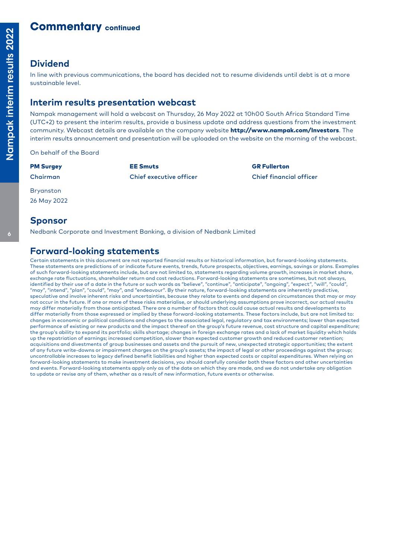## **Commentary continued**

### **Dividend**

In line with previous communications, the board has decided not to resume dividends until debt is at a more sustainable level.

### **Interim results presentation webcast**

Nampak management will hold a webcast on Thursday, 26 May 2022 at 10h00 South Africa Standard Time (UTC+2) to present the interim results, provide a business update and address questions from the investment community. Webcast details are available on the company website **http://www.nampak.com/Investors**. The interim results announcement and presentation will be uploaded on the website on the morning of the webcast.

On behalf of the Board

PM Surgey **EE Smuts** EE Smuts GR Fullerton Chairman Chief executive officer Chief financial officer

Bryanston

26 May 2022

#### **Sponsor**

Nedbank Corporate and Investment Banking, a division of Nedbank Limited

## **Forward-looking statements**

Certain statements in this document are not reported financial results or historical information, but forward-looking statements. These statements are predictions of or indicate future events, trends, future prospects, objectives, earnings, savings or plans. Examples of such forward-looking statements include, but are not limited to, statements regarding volume growth, increases in market share, exchange rate fluctuations, shareholder return and cost reductions. Forward-looking statements are sometimes, but not always identified by their use of a date in the future or such words as "believe", "continue", "anticipate", "ongoing", "expect", "will", "could", "may", "intend", "plan", "could", "may", and "endeavour". By their nature, forward-looking statements are inherently predictive, speculative and involve inherent risks and uncertainties, because they relate to events and depend on circumstances that may or may not occur in the future. If one or more of these risks materialise, or should underlying assumptions prove incorrect, our actual results may differ materially from those anticipated. There are a number of factors that could cause actual results and developments to differ materially from those expressed or implied by these forward-looking statements. These factors include, but are not limited to: changes in economic or political conditions and changes to the associated legal, regulatory and tax environments; lower than expected performance of existing or new products and the impact thereof on the group's future revenue, cost structure and capital expenditure; the group's ability to expand its portfolio; skills shortage; changes in foreign exchange rates and a lack of market liquidity which holds up the repatriation of earnings; increased competition, slower than expected customer growth and reduced customer retention; acquisitions and divestments of group businesses and assets and the pursuit of new, unexpected strategic opportunities; the extent of any future write-downs or impairment charges on the group's assets; the impact of legal or other proceedings against the group; uncontrollable increases to legacy defined benefit liabilities and higher than expected costs or capital expenditures. When relying on forward-looking statements to make investment decisions, you should carefully consider both these factors and other uncertainties and events. Forward-looking statements apply only as of the date on which they are made, and we do not undertake any obligation to update or revise any of them, whether as a result of new information, future events or otherwise.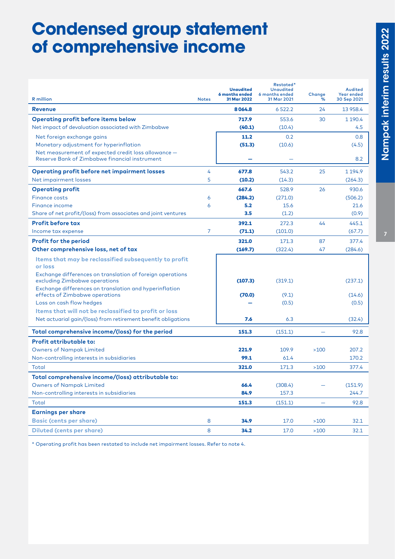## **Condensed group statement of comprehensive income**

|                                                                                                                                                                |                | <b>Unaudited</b><br>6 months ended | Restated*<br><b>Unaudited</b><br>6 months ended | Change                   | Audited<br>Year ended |
|----------------------------------------------------------------------------------------------------------------------------------------------------------------|----------------|------------------------------------|-------------------------------------------------|--------------------------|-----------------------|
| <b>R</b> million                                                                                                                                               | <b>Notes</b>   | 31 Mar 2022                        | 31 Mar 2021                                     | ℅                        | 30 Sep 2021           |
| <b>Revenue</b>                                                                                                                                                 |                | 8064.8                             | 6522.2                                          | 24                       | 13 958.4              |
| <b>Operating profit before items below</b>                                                                                                                     |                | 717.9                              | 553.6                                           | 30                       | 1 190.4               |
| Net impact of devaluation associated with Zimbabwe                                                                                                             |                | (40.1)                             | (10.4)                                          |                          | 4.5                   |
| Net foreign exchange gains                                                                                                                                     |                | 11.2                               | 0.2                                             |                          | 0.8                   |
| Monetary adjustment for hyperinflation                                                                                                                         |                | (51.3)                             | (10.6)                                          |                          | (4.5)                 |
| Net measurement of expected credit loss allowance -<br>Reserve Bank of Zimbabwe financial instrument                                                           |                |                                    |                                                 |                          | 8.2                   |
| <b>Operating profit before net impairment losses</b>                                                                                                           | 4              | 677.8                              | 543.2                                           | 25                       | 1 1 9 4.9             |
| Net impairment losses                                                                                                                                          | 5              | (10.2)                             | (14.3)                                          |                          | (264.3)               |
| <b>Operating profit</b>                                                                                                                                        |                | 667.6                              | 528.9                                           | 26                       | 930.6                 |
| <b>Finance costs</b>                                                                                                                                           | 6              | (284.2)                            | (271.0)                                         |                          | (506.2)               |
| Finance income                                                                                                                                                 | 6              | 5.2                                | 15.6                                            |                          | 21.6                  |
| Share of net profit/(loss) from associates and joint ventures                                                                                                  |                | 3.5                                | (1.2)                                           |                          | (0.9)                 |
| <b>Profit before tax</b>                                                                                                                                       |                | 392.1                              | 272.3                                           | 44                       | 445.1                 |
| Income tax expense                                                                                                                                             | $\overline{7}$ | (71.1)                             | (101.0)                                         |                          | (67.7)                |
| <b>Profit for the period</b>                                                                                                                                   |                | 321.0                              | 171.3                                           | 87                       | 377.4                 |
| Other comprehensive loss, net of tax                                                                                                                           |                | (169.7)                            | (322.4)                                         | 47                       | (284.6)               |
| Items that may be reclassified subsequently to profit<br>or loss<br>Exchange differences on translation of foreign operations<br>excluding Zimbabwe operations |                | (107.3)                            | (319.1)                                         |                          | (237.1)               |
| Exchange differences on translation and hyperinflation<br>effects of Zimbabwe operations                                                                       |                | (70.0)                             | (9.1)                                           |                          | (14.6)                |
| Loss on cash flow hedges                                                                                                                                       |                |                                    | (0.5)                                           |                          | (0.5)                 |
| Items that will not be reclassified to profit or loss                                                                                                          |                |                                    |                                                 |                          |                       |
| Net actuarial gain/(loss) from retirement benefit obligations                                                                                                  |                | 7.6                                | 6.3                                             |                          | (32.4)                |
| Total comprehensive income/(loss) for the period                                                                                                               |                | 151.3                              | (151.1)                                         |                          | 92.8                  |
| <b>Profit attributable to:</b>                                                                                                                                 |                |                                    |                                                 |                          |                       |
| <b>Owners of Nampak Limited</b>                                                                                                                                |                | 221.9                              | 109.9                                           | >100                     | 207.2                 |
| Non-controlling interests in subsidiaries                                                                                                                      |                | 99.1                               | 61.4                                            |                          | 170.2                 |
| Total                                                                                                                                                          |                | 321.0                              | 171.3                                           | >100                     | 377.4                 |
| Total comprehensive income/(loss) attributable to:                                                                                                             |                |                                    |                                                 |                          |                       |
| <b>Owners of Nampak Limited</b>                                                                                                                                |                | 66.4                               | (308.4)                                         | —                        | (151.9)               |
| Non-controlling interests in subsidiaries                                                                                                                      |                | 84.9                               | 157.3                                           |                          | 244.7                 |
| Total                                                                                                                                                          |                | 151.3                              | (151.1)                                         | $\overline{\phantom{0}}$ | 92.8                  |
| <b>Earnings per share</b>                                                                                                                                      |                |                                    |                                                 |                          |                       |
| <b>Basic (cents per share)</b>                                                                                                                                 | 8              | 34.9                               | 17.0                                            | $>100$                   | 32.1                  |
| <b>Diluted (cents per share)</b>                                                                                                                               | 8              | 34.2                               | 17.0                                            | $>100$                   | 32.1                  |

\* Operating profit has been restated to include net impairment losses. Refer to note 4.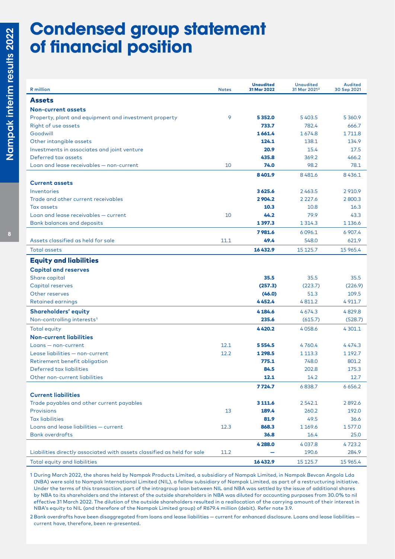## **Condensed group statement of financial position**

| <b>R</b> million                                                                                        | <b>Notes</b> | <b>Unaudited</b><br>31 Mar 2022 | <b>Unaudited</b><br>31 Mar 2021 <sup>2</sup> | Audited<br>30 Sep 2021      |
|---------------------------------------------------------------------------------------------------------|--------------|---------------------------------|----------------------------------------------|-----------------------------|
| <b>Assets</b>                                                                                           |              |                                 |                                              |                             |
| <b>Non-current assets</b>                                                                               |              |                                 |                                              |                             |
| Property, plant and equipment and investment property                                                   | 9            | 5352.0                          | 5403.5                                       | 5 3 6 0.9                   |
| Right of use assets                                                                                     |              | 733.7                           | 782.4                                        | 666.7                       |
| Goodwill                                                                                                |              | 1661.4                          | 1674.8                                       | 1711.8                      |
| Other intangible assets                                                                                 |              | 124.1                           | 138.1                                        | 134.9                       |
| Investments in associates and joint venture                                                             |              | 20.9                            | 15.4                                         | 17.5                        |
| Deferred tax assets                                                                                     |              | 435.8                           | 369.2                                        | 466.2                       |
| Loan and lease receivables - non-current                                                                | 10           | 74.0                            | 98.2                                         | 78.1                        |
|                                                                                                         |              | 8401.9                          | 8481.6                                       | 8436.1                      |
| <b>Current assets</b>                                                                                   |              |                                 |                                              |                             |
| Inventories                                                                                             |              | 3625.6                          | 2463.5                                       | 2910.9                      |
| Trade and other current receivables                                                                     |              | 2904.2                          | 2 2 2 7 . 6                                  | 2 800.3                     |
| Tax assets                                                                                              |              | 10.3                            | 10.8                                         | 16.3                        |
| Loan and lease receivables - current                                                                    | 10           | 44.2                            | 79.9                                         | 43.3                        |
| <b>Bank balances and deposits</b>                                                                       |              | 1397.3                          | 1 3 1 4 .3                                   | 1 1 3 6 . 6                 |
|                                                                                                         |              | 7981.6                          | 6096.1                                       | 6 907.4                     |
| Assets classified as held for sale                                                                      | 11.1         | 49.4                            | 548.0                                        | 621.9                       |
| <b>Total assets</b>                                                                                     |              | 16432.9                         | 15 125.7                                     | 15 965.4                    |
| <b>Equity and liabilities</b>                                                                           |              |                                 |                                              |                             |
| <b>Capital and reserves</b>                                                                             |              |                                 |                                              |                             |
| Share capital                                                                                           |              | 35.5                            | 35.5                                         | 35.5                        |
| Capital reserves                                                                                        |              | (257.3)                         | (223.7)                                      | (226.9)                     |
| Other reserves                                                                                          |              | (46.0)                          | 51.3                                         | 109.5                       |
| <b>Retained earnings</b>                                                                                |              | 4452.4                          | 4811.2                                       | 4 9 1 1.7                   |
| <b>Shareholders' equity</b>                                                                             |              | 4 184.6                         | 4674.3                                       | 4829.8                      |
| Non-controlling interests <sup>1</sup>                                                                  |              | 235.6                           | (615.7)                                      | (528.7)                     |
| Total equity                                                                                            |              | 4420.2                          | 4058.6                                       | 4 301.1                     |
| <b>Non-current liabilities</b>                                                                          |              |                                 |                                              |                             |
| Loans - non-current                                                                                     | 12.1         | 5 5 5 4 . 5                     | 4760.4                                       | 4474.3                      |
| Lease liabilities - non-current                                                                         | 12.2         | 1 2 9 8.5                       | 1 1 1 3 . 3                                  | 1 192.7                     |
| Retirement benefit obligation                                                                           |              | 775.1                           | 748.0                                        | 801.2                       |
| Deferred tax liabilities                                                                                |              | 84.5                            | 202.8                                        | 175.3                       |
| Other non-current liabilities                                                                           |              | 12.1                            | 14.2                                         | 12.7                        |
|                                                                                                         |              | 7724.7                          | 6838.7                                       | 6 6 5 6.2                   |
| <b>Current liabilities</b>                                                                              |              |                                 |                                              |                             |
| Trade payables and other current payables                                                               |              | 3 1 1 1.6                       | 2542.1                                       | 2892.6                      |
| Provisions                                                                                              | 13           | 189.4                           | 260.2                                        | 192.0                       |
| <b>Tax liabilities</b>                                                                                  |              | 81.9                            | 49.5                                         | 36.6                        |
| Loans and lease liabilities - current                                                                   | 12.3         | 868.3                           | 1 169.6                                      | 1577.0                      |
| <b>Bank overdrafts</b>                                                                                  |              | 36.8                            | 16.4                                         | 25.0                        |
|                                                                                                         |              |                                 |                                              |                             |
|                                                                                                         |              |                                 |                                              |                             |
|                                                                                                         |              |                                 |                                              |                             |
| Liabilities directly associated with assets classified as held for sale<br>Total equity and liabilities | 11.2         | 4 2 8 8.0<br>16432.9            | 4037.8<br>190.6<br>15 125.7                  | 4723.2<br>284.9<br>15 965.4 |

1 During March 2022, the shares held by Nampak Products Limited, a subsidiary of Nampak Limited, in Nampak Bevcan Angola Lda (NBA) were sold to Nampak International Limited (NIL), a fellow subsidiary of Nampak Limited, as part of a restructuring initiative. Under the terms of this transaction, part of the intragroup loan between NIL and NBA was settled by the issue of additional shares by NBA to its shareholders and the interest of the outside shareholders in NBA was diluted for accounting purposes from 30.0% to nil effective 31 March 2022. The dilution of the outside shareholders resulted in a reallocation of the carrying amount of their interest in NBA's equity to NIL (and therefore of the Nampak Limited group) of R679.4 million (debit). Refer note 3.9.

2 Bank overdrafts have been disaggregated from loans and lease liabilities — current for enhanced disclosure. Loans and lease liabilities current have, therefore, been re-presented.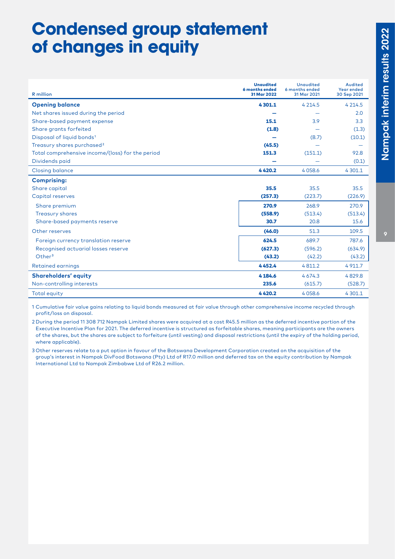# **Condensed group statement of changes in equity**

|                                                  | <b>Unaudited</b><br>6 months ended | <b>Unaudited</b><br>6 months ended | Audited<br><b>Year ended</b> |
|--------------------------------------------------|------------------------------------|------------------------------------|------------------------------|
| <b>R</b> million                                 | 31 Mar 2022                        | 31 Mar 2021                        | 30 Sep 2021                  |
| <b>Opening balance</b>                           | 4301.1                             | 4 2 1 4 .5                         | 4 2 1 4 .5                   |
| Net shares issued during the period              |                                    |                                    | 2.0                          |
| Share-based payment expense                      | 15.1                               | 3.9                                | 3.3                          |
| Share grants forfeited                           | (1.8)                              |                                    | (1.3)                        |
| Disposal of liquid bonds <sup>1</sup>            |                                    | (8.7)                              | (10.1)                       |
| Treasury shares purchased <sup>2</sup>           | (45.5)                             |                                    |                              |
| Total comprehensive income/(loss) for the period | 151.3                              | (151.1)                            | 92.8                         |
| Dividends paid                                   |                                    |                                    | (0.1)                        |
| <b>Closing balance</b>                           | 4420.2                             | 4058.6                             | 4 301.1                      |
| <b>Comprising:</b>                               |                                    |                                    |                              |
| Share capital                                    | 35.5                               | 35.5                               | 35.5                         |
| Capital reserves                                 | (257.3)                            | (223.7)                            | (226.9)                      |
| Share premium                                    | 270.9                              | 268.9                              | 270.9                        |
| <b>Treasury shares</b>                           | (558.9)                            | (513.4)                            | (513.4)                      |
| Share-based payments reserve                     | 30.7                               | 20.8                               | 15.6                         |
| Other reserves                                   | (46.0)                             | 51.3                               | 109.5                        |
| Foreign currency translation reserve             | 624.5                              | 689.7                              | 787.6                        |
| Recognised actuarial losses reserve              | (627.3)                            | (596.2)                            | (634.9)                      |
| Other <sup>3</sup>                               | (43.2)                             | (42.2)                             | (43.2)                       |
| <b>Retained earnings</b>                         | 4452.4                             | 4811.2                             | 4 9 1 1.7                    |
| <b>Shareholders' equity</b>                      | 4 184.6                            | 4674.3                             | 4829.8                       |
| Non-controlling interests                        | 235.6                              | (615.7)                            | (528.7)                      |
| <b>Total equity</b>                              | 4420.2                             | 4058.6                             | 4 301.1                      |

1 Cumulative fair value gains relating to liquid bonds measured at fair value through other comprehensive income recycled through profit/loss on disposal.

2 During the period 11 308 712 Nampak Limited shares were acquired at a cost R45.5 million as the deferred incentive portion of the Executive Incentive Plan for 2021. The deferred incentive is structured as forfeitable shares, meaning participants are the owners of the shares, but the shares are subject to forfeiture (until vesting) and disposal restrictions (until the expiry of the holding period, where applicable).

3 Other reserves relate to a put option in favour of the Botswana Development Corporation created on the acquisition of the group's interest in Nampak DivFood Botswana (Pty) Ltd of R17.0 million and deferred tax on the equity contribution by Nampak International Ltd to Nampak Zimbabwe Ltd of R26.2 million.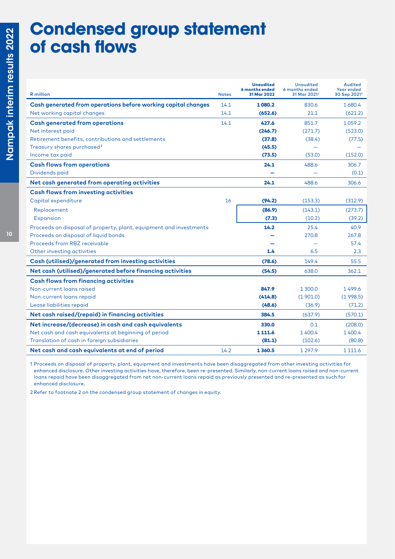# **Condensed group statement of cash flows**

| <b>R</b> million                                                   | <b>Notes</b> | <b>Unaudited</b><br>6 months ended<br>31 Mar 2022 | <b>Unaudited</b><br>6 months ended<br>31 Mar 2021 <sup>1</sup> | Audited<br><b>Year ended</b><br>30 Sep 2021 <sup>1</sup> |
|--------------------------------------------------------------------|--------------|---------------------------------------------------|----------------------------------------------------------------|----------------------------------------------------------|
| Cash generated from operations before working capital changes      | 14.1         | 1080.2                                            | 830.6                                                          | 1 680.4                                                  |
| Net working capital changes                                        | 14.1         | (652.6)                                           | 21.1                                                           | (621.2)                                                  |
| <b>Cash generated from operations</b>                              | 14.1         | 427.6                                             | 851.7                                                          | 1059.2                                                   |
| Net interest paid                                                  |              | (246.7)                                           | (271.7)                                                        | (523.0)                                                  |
| Retirement benefits, contributions and settlements                 |              | (37.8)                                            | (38.4)                                                         | (77.5)                                                   |
| Treasury shares purchased <sup>2</sup>                             |              | (45.5)                                            |                                                                |                                                          |
| Income tax paid                                                    |              | (73.5)                                            | (53.0)                                                         | (152.0)                                                  |
| <b>Cash flows from operations</b>                                  |              | 24.1                                              | 488.6                                                          | 306.7                                                    |
| Dividends paid                                                     |              |                                                   |                                                                | (0.1)                                                    |
| Net cash generated from operating activities                       |              | 24.1                                              | 488.6                                                          | 306.6                                                    |
| <b>Cash flows from investing activities</b>                        |              |                                                   |                                                                |                                                          |
| Capital expenditure                                                | 16           | (94.2)                                            | (153.3)                                                        | (312.9)                                                  |
| Replacement                                                        |              | (86.9)                                            | (143.1)                                                        | (273.7)                                                  |
| <b>Expansion</b>                                                   |              | (7.3)                                             | (10.2)                                                         | (39.2)                                                   |
| Proceeds on disposal of property, plant, equipment and investments |              | 14.2                                              | 25.4                                                           | 40.9                                                     |
| Proceeds on disposal of liquid bonds                               |              |                                                   | 270.8                                                          | 267.8                                                    |
| Proceeds from RBZ receivable                                       |              |                                                   |                                                                | 57.4                                                     |
| Other investing activities                                         |              | 1.4                                               | 6.5                                                            | 2.3                                                      |
| Cash (utilised)/generated from investing activities                |              | (78.6)                                            | 149.4                                                          | 55.5                                                     |
| Net cash (utilised)/generated before financing activities          |              | (54.5)                                            | 638.0                                                          | 362.1                                                    |
| <b>Cash flows from financing activities</b>                        |              |                                                   |                                                                |                                                          |
| Non-current loans raised                                           |              | 847.9                                             | 1 300.0                                                        | 1499.6                                                   |
| Non-current loans repaid                                           |              | (414.8)                                           | (1901.0)                                                       | (1998.5)                                                 |
| Lease liabilities repaid                                           |              | (48.6)                                            | (36.9)                                                         | (71.2)                                                   |
| Net cash raised/(repaid) in financing activities                   |              | 384.5                                             | (637.9)                                                        | (570.1)                                                  |
| Net increase/(decrease) in cash and cash equivalents               |              | 330.0                                             | 0.1                                                            | (208.0)                                                  |
| Net cash and cash equivalents at beginning of period               |              | 1 1 1 1 . 6                                       | 1400.4                                                         | 1 400.4                                                  |
| Translation of cash in foreign subsidiaries                        |              | (81.1)                                            | (102.6)                                                        | (80.8)                                                   |
| Net cash and cash equivalents at end of period                     | 14.2         | 1360.5                                            | 1 2 9 7 . 9                                                    | 1 1 1 1 . 6                                              |

1 Proceeds on disposal of property, plant, equipment and investments have been disaggregated from other investing activities for enhanced disclosure. Other investing activities have, therefore, been re-presented. Similarly, non-current loans raised and non-current loans repaid have been disaggregated from net non-current loans repaid as previously presented and re-presented as such for enhanced disclosure.

2 Refer to footnote 2 on the condensed group statement of changes in equity.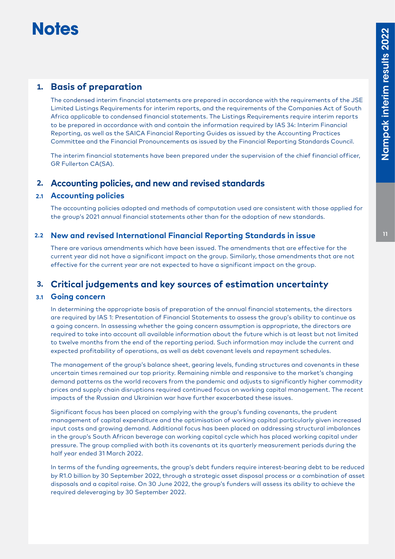# **Notes**

## **1. Basis of preparation**

The condensed interim financial statements are prepared in accordance with the requirements of the JSE Limited Listings Requirements for interim reports, and the requirements of the Companies Act of South Africa applicable to condensed financial statements. The Listings Requirements require interim reports to be prepared in accordance with and contain the information required by IAS 34: Interim Financial Reporting, as well as the SAICA Financial Reporting Guides as issued by the Accounting Practices Committee and the Financial Pronouncements as issued by the Financial Reporting Standards Council.

The interim financial statements have been prepared under the supervision of the chief financial officer, GR Fullerton CA(SA).

#### **2. Accounting policies, and new and revised standards**

#### **2.1 Accounting policies**

The accounting policies adopted and methods of computation used are consistent with those applied for the group's 2021 annual financial statements other than for the adoption of new standards.

#### **2.2 New and revised International Financial Reporting Standards in issue**

There are various amendments which have been issued. The amendments that are effective for the current year did not have a significant impact on the group. Similarly, those amendments that are not effective for the current year are not expected to have a significant impact on the group.

## **3. Critical judgements and key sources of estimation uncertainty**

#### **3.1 Going concern**

In determining the appropriate basis of preparation of the annual financial statements, the directors are required by IAS 1: Presentation of Financial Statements to assess the group's ability to continue as a going concern. In assessing whether the going concern assumption is appropriate, the directors are required to take into account all available information about the future which is at least but not limited to twelve months from the end of the reporting period. Such information may include the current and expected profitability of operations, as well as debt covenant levels and repayment schedules.

The management of the group's balance sheet, gearing levels, funding structures and covenants in these uncertain times remained our top priority. Remaining nimble and responsive to the market's changing demand patterns as the world recovers from the pandemic and adjusts to significantly higher commodity prices and supply chain disruptions required continued focus on working capital management. The recent impacts of the Russian and Ukrainian war have further exacerbated these issues.

Significant focus has been placed on complying with the group's funding covenants, the prudent management of capital expenditure and the optimisation of working capital particularly given increased input costs and growing demand. Additional focus has been placed on addressing structural imbalances in the group's South African beverage can working capital cycle which has placed working capital under pressure. The group complied with both its covenants at its quarterly measurement periods during the half year ended 31 March 2022.

In terms of the funding agreements, the group's debt funders require interest-bearing debt to be reduced by R1.0 billion by 30 September 2022, through a strategic asset disposal process or a combination of asset disposals and a capital raise. On 30 June 2022, the group's funders will assess its ability to achieve the required deleveraging by 30 September 2022.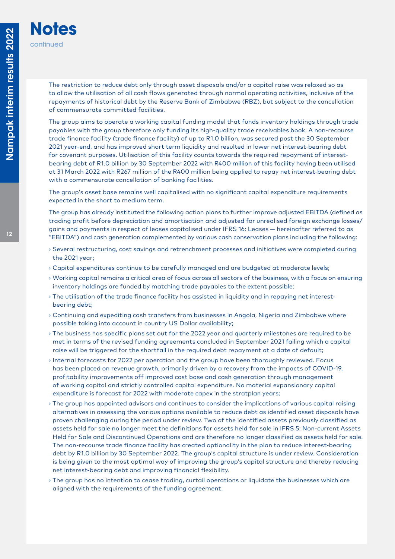**Notes**

continued

The restriction to reduce debt only through asset disposals and/or a capital raise was relaxed so as to allow the utilisation of all cash flows generated through normal operating activities, inclusive of the repayments of historical debt by the Reserve Bank of Zimbabwe (RBZ), but subject to the cancellation of commensurate committed facilities.

The group aims to operate a working capital funding model that funds inventory holdings through trade payables with the group therefore only funding its high-quality trade receivables book. A non-recourse trade finance facility (trade finance facility) of up to R1.0 billion, was secured post the 30 September 2021 year-end, and has improved short term liquidity and resulted in lower net interest-bearing debt for covenant purposes. Utilisation of this facility counts towards the required repayment of interestbearing debt of R1.0 billion by 30 September 2022 with R400 million of this facility having been utilised at 31 March 2022 with R267 million of the R400 million being applied to repay net interest-bearing debt with a commensurate cancellation of banking facilities.

The group's asset base remains well capitalised with no significant capital expenditure requirements expected in the short to medium term.

The group has already instituted the following action plans to further improve adjusted EBITDA (defined as trading profit before depreciation and amortisation and adjusted for unrealised foreign exchange losses/ gains and payments in respect of leases capitalised under IFRS 16: Leases — hereinafter referred to as "EBITDA") and cash generation complemented by various cash conservation plans including the following:

- **›** Several restructuring, cost savings and retrenchment processes and initiatives were completed during the 2021 year;
- **›** Capital expenditures continue to be carefully managed and are budgeted at moderate levels;
- **›** Working capital remains a critical area of focus across all sectors of the business, with a focus on ensuring inventory holdings are funded by matching trade payables to the extent possible;
- **›** The utilisation of the trade finance facility has assisted in liquidity and in repaying net interestbearing debt;
- **›** Continuing and expediting cash transfers from businesses in Angola, Nigeria and Zimbabwe where possible taking into account in country US Dollar availability;
- **›** The business has specific plans set out for the 2022 year and quarterly milestones are required to be met in terms of the revised funding agreements concluded in September 2021 failing which a capital raise will be triggered for the shortfall in the required debt repayment at a date of default;
- **›** Internal forecasts for 2022 per operation and the group have been thoroughly reviewed. Focus has been placed on revenue growth, primarily driven by a recovery from the impacts of COVID-19, profitability improvements off improved cost base and cash generation through management of working capital and strictly controlled capital expenditure. No material expansionary capital expenditure is forecast for 2022 with moderate capex in the stratplan years;
- **›** The group has appointed advisors and continues to consider the implications of various capital raising alternatives in assessing the various options available to reduce debt as identified asset disposals have proven challenging during the period under review. Two of the identified assets previously classified as assets held for sale no longer meet the definitions for assets held for sale in IFRS 5: Non-current Assets Held for Sale and Discontinued Operations and are therefore no longer classified as assets held for sale. The non-recourse trade finance facility has created optionality in the plan to reduce interest-bearing debt by R1.0 billion by 30 September 2022. The group's capital structure is under review. Consideration is being given to the most optimal way of improving the group's capital structure and thereby reducing net interest-bearing debt and improving financial flexibility.
- **›** The group has no intention to cease trading, curtail operations or liquidate the businesses which are aligned with the requirements of the funding agreement.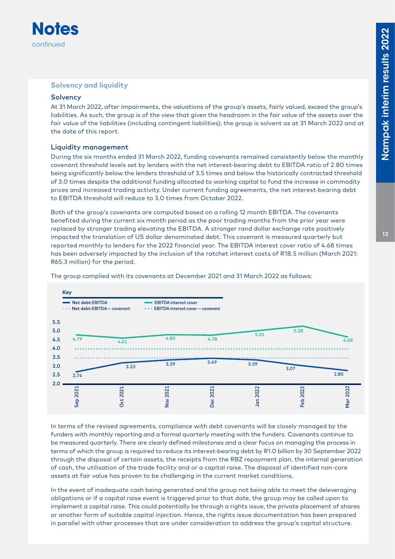

#### **Solvency and liquidity**

#### **Solvency**

At 31 March 2022, after impairments, the valuations of the group's assets, fairly valued, exceed the group's liabilities. As such, the group is of the view that given the headroom in the fair value of the assets over the fair value of the liabilities (including contingent liabilities), the group is solvent as at 31 March 2022 and at the date of this report.

#### Liquidity management

During the six months ended 31 March 2022, funding covenants remained consistently below the monthly covenant threshold levels set by lenders with the net interest-bearing debt to EBITDA ratio of 2.80 times being significantly below the lenders threshold of 3.5 times and below the historically contracted threshold of 3.0 times despite the additional funding allocated to working capital to fund the increase in commodity prices and increased trading activity. Under current funding agreements, the net interest-bearing debt to EBITDA threshold will reduce to 3.0 times from October 2022.

Both of the group's covenants are computed based on a rolling 12 month EBITDA. The covenants benefited during the current six month period as the poor trading months from the prior year were replaced by stronger trading elevating the EBITDA. A stronger rand dollar exchange rate positively impacted the translation of US dollar denominated debt. This covenant is measured quarterly but reported monthly to lenders for the 2022 financial year. The EBITDA interest cover ratio of 4.68 times has been adversely impacted by the inclusion of the ratchet interest costs of R18.5 million (March 2021: R65.3 million) for the period.



The group complied with its covenants at December 2021 and 31 March 2022 as follows:

In terms of the revised agreements, compliance with debt covenants will be closely managed by the funders with monthly reporting and a formal quarterly meeting with the funders. Covenants continue to be measured quarterly. There are clearly defined milestones and a clear focus on managing the process in terms of which the group is required to reduce its interest-bearing debt by R1.0 billion by 30 September 2022 through the disposal of certain assets, the receipts from the RBZ repayment plan, the internal generation of cash, the utilisation of the trade facility and or a capital raise. The disposal of identified non-core assets at fair value has proven to be challenging in the current market conditions.

In the event of inadequate cash being generated and the group not being able to meet the deleveraging obligations or if a capital raise event is triggered prior to that date, the group may be called upon to implement a capital raise. This could potentially be through a rights issue, the private placement of shares or another form of suitable capital injection. Hence, the rights issue documentation has been prepared in parallel with other processes that are under consideration to address the group's capital structure.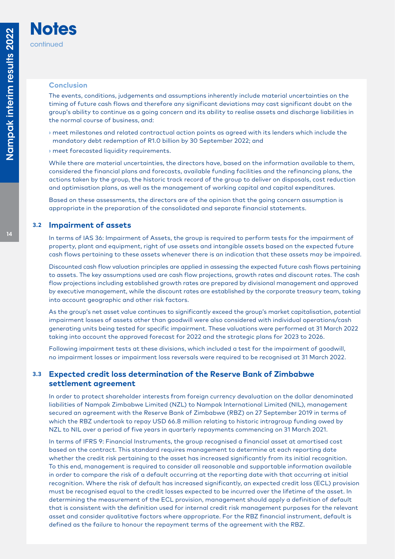#### **Conclusion**

**Notes**

continued

The events, conditions, judgements and assumptions inherently include material uncertainties on the timing of future cash flows and therefore any significant deviations may cast significant doubt on the group's ability to continue as a going concern and its ability to realise assets and discharge liabilities in the normal course of business, and:

- **›** meet milestones and related contractual action points as agreed with its lenders which include the mandatory debt redemption of R1.0 billion by 30 September 2022; and
- **›** meet forecasted liquidity requirements.

While there are material uncertainties, the directors have, based on the information available to them, considered the financial plans and forecasts, available funding facilities and the refinancing plans, the actions taken by the group, the historic track record of the group to deliver on disposals, cost reduction and optimisation plans, as well as the management of working capital and capital expenditures.

Based on these assessments, the directors are of the opinion that the going concern assumption is appropriate in the preparation of the consolidated and separate financial statements.

#### **3.2 Impairment of assets**

In terms of IAS 36: Impairment of Assets, the group is required to perform tests for the impairment of property, plant and equipment, right of use assets and intangible assets based on the expected future cash flows pertaining to these assets whenever there is an indication that these assets may be impaired.

Discounted cash flow valuation principles are applied in assessing the expected future cash flows pertaining to assets. The key assumptions used are cash flow projections, growth rates and discount rates. The cash flow projections including established growth rates are prepared by divisional management and approved by executive management, while the discount rates are established by the corporate treasury team, taking into account geographic and other risk factors.

As the group's net asset value continues to significantly exceed the group's market capitalisation, potential impairment losses of assets other than goodwill were also considered with individual operations/cash generating units being tested for specific impairment. These valuations were performed at 31 March 2022 taking into account the approved forecast for 2022 and the strategic plans for 2023 to 2026.

Following impairment tests at these divisions, which included a test for the impairment of goodwill, no impairment losses or impairment loss reversals were required to be recognised at 31 March 2022.

#### **3.3 Expected credit loss determination of the Reserve Bank of Zimbabwe settlement agreement**

In order to protect shareholder interests from foreign currency devaluation on the dollar denominated liabilities of Nampak Zimbabwe Limited (NZL) to Nampak International Limited (NIL), management secured an agreement with the Reserve Bank of Zimbabwe (RBZ) on 27 September 2019 in terms of which the RBZ undertook to repay USD 66.8 million relating to historic intragroup funding owed by NZL to NIL over a period of five years in quarterly repayments commencing on 31 March 2021.

In terms of IFRS 9: Financial Instruments, the group recognised a financial asset at amortised cost based on the contract. This standard requires management to determine at each reporting date whether the credit risk pertaining to the asset has increased significantly from its initial recognition. To this end, management is required to consider all reasonable and supportable information available in order to compare the risk of a default occurring at the reporting date with that occurring at initial recognition. Where the risk of default has increased significantly, an expected credit loss (ECL) provision must be recognised equal to the credit losses expected to be incurred over the lifetime of the asset. In determining the measurement of the ECL provision, management should apply a definition of default that is consistent with the definition used for internal credit risk management purposes for the relevant asset and consider qualitative factors where appropriate. For the RBZ financial instrument, default is defined as the failure to honour the repayment terms of the agreement with the RBZ.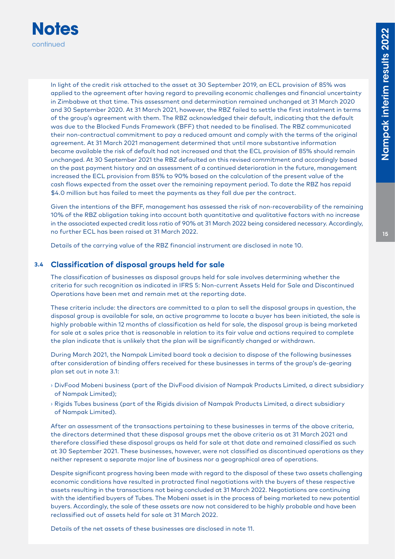

In light of the credit risk attached to the asset at 30 September 2019, an ECL provision of 85% was applied to the agreement after having regard to prevailing economic challenges and financial uncertainty in Zimbabwe at that time. This assessment and determination remained unchanged at 31 March 2020 and 30 September 2020. At 31 March 2021, however, the RBZ failed to settle the first instalment in terms of the group's agreement with them. The RBZ acknowledged their default, indicating that the default was due to the Blocked Funds Framework (BFF) that needed to be finalised. The RBZ communicated their non-contractual commitment to pay a reduced amount and comply with the terms of the original agreement. At 31 March 2021 management determined that until more substantive information became available the risk of default had not increased and that the ECL provision of 85% should remain unchanged. At 30 September 2021 the RBZ defaulted on this revised commitment and accordingly based on the past payment history and an assessment of a continued deterioration in the future, management increased the ECL provision from 85% to 90% based on the calculation of the present value of the cash flows expected from the asset over the remaining repayment period. To date the RBZ has repaid \$4.0 million but has failed to meet the payments as they fall due per the contract.

Given the intentions of the BFF, management has assessed the risk of non-recoverability of the remaining 10% of the RBZ obligation taking into account both quantitative and qualitative factors with no increase in the associated expected credit loss ratio of 90% at 31 March 2022 being considered necessary. Accordingly, no further ECL has been raised at 31 March 2022.

Details of the carrying value of the RBZ financial instrument are disclosed in note 10.

#### **3.4 Classification of disposal groups held for sale**

The classification of businesses as disposal groups held for sale involves determining whether the criteria for such recognition as indicated in IFRS 5: Non-current Assets Held for Sale and Discontinued Operations have been met and remain met at the reporting date.

These criteria include: the directors are committed to a plan to sell the disposal groups in question, the disposal group is available for sale, an active programme to locate a buyer has been initiated, the sale is highly probable within 12 months of classification as held for sale, the disposal group is being marketed for sale at a sales price that is reasonable in relation to its fair value and actions required to complete the plan indicate that is unlikely that the plan will be significantly changed or withdrawn.

During March 2021, the Nampak Limited board took a decision to dispose of the following businesses after consideration of binding offers received for these businesses in terms of the group's de-gearing plan set out in note 3.1:

- **›** DivFood Mobeni business (part of the DivFood division of Nampak Products Limited, a direct subsidiary of Nampak Limited);
- **›** Rigids Tubes business (part of the Rigids division of Nampak Products Limited, a direct subsidiary of Nampak Limited).

After an assessment of the transactions pertaining to these businesses in terms of the above criteria, the directors determined that these disposal groups met the above criteria as at 31 March 2021 and therefore classified these disposal groups as held for sale at that date and remained classified as such at 30 September 2021. These businesses, however, were not classified as discontinued operations as they neither represent a separate major line of business nor a geographical area of operations.

Despite significant progress having been made with regard to the disposal of these two assets challenging economic conditions have resulted in protracted final negotiations with the buyers of these respective assets resulting in the transactions not being concluded at 31 March 2022. Negotiations are continuing with the identified buyers of Tubes. The Mobeni asset is in the process of being marketed to new potential buyers. Accordingly, the sale of these assets are now not considered to be highly probable and have been reclassified out of assets held for sale at 31 March 2022.

Details of the net assets of these businesses are disclosed in note 11.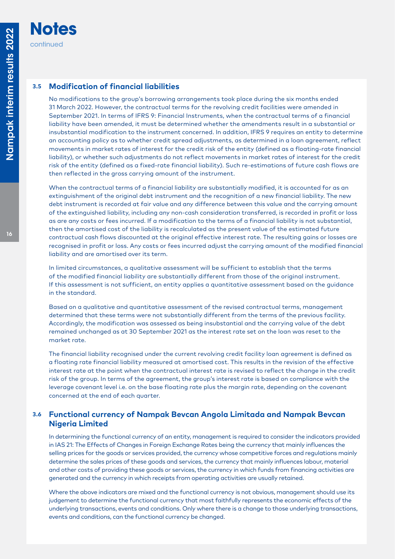### **3.5 Modification of financial liabilities**

No modifications to the group's borrowing arrangements took place during the six months ended 31 March 2022. However, the contractual terms for the revolving credit facilities were amended in September 2021. In terms of IFRS 9: Financial Instruments, when the contractual terms of a financial liability have been amended, it must be determined whether the amendments result in a substantial or insubstantial modification to the instrument concerned. In addition, IFRS 9 requires an entity to determine an accounting policy as to whether credit spread adjustments, as determined in a loan agreement, reflect movements in market rates of interest for the credit risk of the entity (defined as a floating-rate financial liability), or whether such adjustments do not reflect movements in market rates of interest for the credit risk of the entity (defined as a fixed-rate financial liability). Such re-estimations of future cash flows are then reflected in the gross carrying amount of the instrument.

When the contractual terms of a financial liability are substantially modified, it is accounted for as an extinguishment of the original debt instrument and the recognition of a new financial liability. The new debt instrument is recorded at fair value and any difference between this value and the carrying amount of the extinguished liability, including any non-cash consideration transferred, is recorded in profit or loss as are any costs or fees incurred. If a modification to the terms of a financial liability is not substantial, then the amortised cost of the liability is recalculated as the present value of the estimated future contractual cash flows discounted at the original effective interest rate. The resulting gains or losses are recognised in profit or loss. Any costs or fees incurred adjust the carrying amount of the modified financial liability and are amortised over its term.

In limited circumstances, a qualitative assessment will be sufficient to establish that the terms of the modified financial liability are substantially different from those of the original instrument. If this assessment is not sufficient, an entity applies a quantitative assessment based on the guidance in the standard.

Based on a qualitative and quantitative assessment of the revised contractual terms, management determined that these terms were not substantially different from the terms of the previous facility. Accordingly, the modification was assessed as being insubstantial and the carrying value of the debt remained unchanged as at 30 September 2021 as the interest rate set on the loan was reset to the market rate.

The financial liability recognised under the current revolving credit facility loan agreement is defined as a floating rate financial liability measured at amortised cost. This results in the revision of the effective interest rate at the point when the contractual interest rate is revised to reflect the change in the credit risk of the group. In terms of the agreement, the group's interest rate is based on compliance with the leverage covenant level i.e. on the base floating rate plus the margin rate, depending on the covenant concerned at the end of each quarter.

#### **3.6 Functional currency of Nampak Bevcan Angola Limitada and Nampak Bevcan Nigeria Limited**

In determining the functional currency of an entity, management is required to consider the indicators provided in IAS 21: The Effects of Changes in Foreign Exchange Rates being the currency that mainly influences the selling prices for the goods or services provided, the currency whose competitive forces and regulations mainly determine the sales prices of these goods and services, the currency that mainly influences labour, material and other costs of providing these goods or services, the currency in which funds from financing activities are generated and the currency in which receipts from operating activities are usually retained.

Where the above indicators are mixed and the functional currency is not obvious, management should use its judgement to determine the functional currency that most faithfully represents the economic effects of the underlying transactions, events and conditions. Only where there is a change to those underlying transactions, events and conditions, can the functional currency be changed.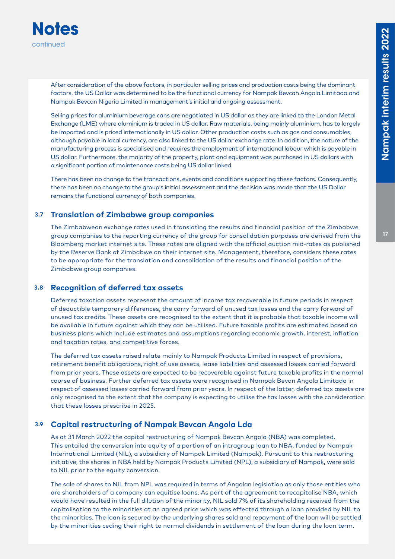

After consideration of the above factors, in particular selling prices and production costs being the dominant factors, the US Dollar was determined to be the functional currency for Nampak Bevcan Angola Limitada and Nampak Bevcan Nigeria Limited in management's initial and ongoing assessment.

Selling prices for aluminium beverage cans are negotiated in US dollar as they are linked to the London Metal Exchange (LME) where aluminium is traded in US dollar. Raw materials, being mainly aluminium, has to largely be imported and is priced internationally in US dollar. Other production costs such as gas and consumables, although payable in local currency, are also linked to the US dollar exchange rate. In addition, the nature of the manufacturing process is specialised and requires the employment of international labour which is payable in US dollar. Furthermore, the majority of the property, plant and equipment was purchased in US dollars with a significant portion of maintenance costs being US dollar linked.

There has been no change to the transactions, events and conditions supporting these factors. Consequently, there has been no change to the group's initial assessment and the decision was made that the US Dollar remains the functional currency of both companies.

#### **3.7 Translation of Zimbabwe group companies**

The Zimbabwean exchange rates used in translating the results and financial position of the Zimbabwe group companies to the reporting currency of the group for consolidation purposes are derived from the Bloomberg market internet site. These rates are aligned with the official auction mid-rates as published by the Reserve Bank of Zimbabwe on their internet site. Management, therefore, considers these rates to be appropriate for the translation and consolidation of the results and financial position of the Zimbabwe group companies.

#### **3.8 Recognition of deferred tax assets**

Deferred taxation assets represent the amount of income tax recoverable in future periods in respect of deductible temporary differences, the carry forward of unused tax losses and the carry forward of unused tax credits. These assets are recognised to the extent that it is probable that taxable income will be available in future against which they can be utilised. Future taxable profits are estimated based on business plans which include estimates and assumptions regarding economic growth, interest, inflation and taxation rates, and competitive forces.

The deferred tax assets raised relate mainly to Nampak Products Limited in respect of provisions, retirement benefit obligations, right of use assets, lease liabilities and assessed losses carried forward from prior years. These assets are expected to be recoverable against future taxable profits in the normal course of business. Further deferred tax assets were recognised in Nampak Bevan Angola Limitada in respect of assessed losses carried forward from prior years. In respect of the latter, deferred tax assets are only recognised to the extent that the company is expecting to utilise the tax losses with the consideration that these losses prescribe in 2025.

#### **3.9 Capital restructuring of Nampak Bevcan Angola Lda**

As at 31 March 2022 the capital restructuring of Nampak Bevcan Angola (NBA) was completed. This entailed the conversion into equity of a portion of an intragroup loan to NBA, funded by Nampak International Limited (NIL), a subsidiary of Nampak Limited (Nampak). Pursuant to this restructuring initiative, the shares in NBA held by Nampak Products Limited (NPL), a subsidiary of Nampak, were sold to NIL prior to the equity conversion.

The sale of shares to NIL from NPL was required in terms of Angolan legislation as only those entities who are shareholders of a company can equitise loans. As part of the agreement to recapitalise NBA, which would have resulted in the full dilution of the minority, NIL sold 7% of its shareholding received from the capitalisation to the minorities at an agreed price which was effected through a loan provided by NIL to the minorities. The loan is secured by the underlying shares sold and repayment of the loan will be settled by the minorities ceding their right to normal dividends in settlement of the loan during the loan term.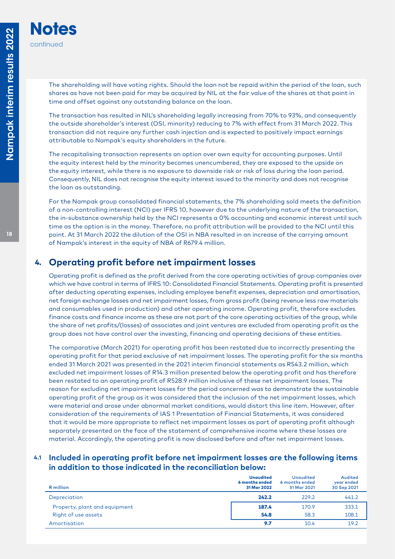**Notes**

continued

The shareholding will have voting rights. Should the loan not be repaid within the period of the loan, such shares as have not been paid for may be acquired by NIL at the fair value of the shares at that point in time and offset against any outstanding balance on the loan.

The transaction has resulted in NIL's shareholding legally increasing from 70% to 93%, and consequently the outside shareholder's interest (OSI, minority) reducing to 7% with effect from 31 March 2022. This transaction did not require any further cash injection and is expected to positively impact earnings attributable to Nampak's equity shareholders in the future.

The recapitalising transaction represents an option over own equity for accounting purposes. Until the equity interest held by the minority becomes unencumbered, they are exposed to the upside on the equity interest, while there is no exposure to downside risk or risk of loss during the loan period. Consequently, NIL does not recognise the equity interest issued to the minority and does not recognise the loan as outstanding.

For the Nampak group consolidated financial statements, the 7% shareholding sold meets the definition of a non-controlling interest (NCI) per IFRS 10, however due to the underlying nature of the transaction, the in-substance ownership held by the NCI represents a 0% accounting and economic interest until such time as the option is in the money. Therefore, no profit attribution will be provided to the NCI until this point. At 31 March 2022 the dilution of the OSI in NBA resulted in an increase of the carrying amount of Nampak's interest in the equity of NBA of R679.4 million.

## **4. Operating profit before net impairment losses**

Operating profit is defined as the profit derived from the core operating activities of group companies over which we have control in terms of IFRS 10: Consolidated Financial Statements. Operating profit is presented after deducting operating expenses, including employee benefit expenses, depreciation and amortisation, net foreign exchange losses and net impairment losses, from gross profit (being revenue less raw materials and consumables used in production) and other operating income. Operating profit, therefore excludes finance costs and finance income as these are not part of the core operating activities of the group, while the share of net profits/(losses) of associates and joint ventures are excluded from operating profit as the group does not have control over the investing, financing and operating decisions of these entities.

The comparative (March 2021) for operating profit has been restated due to incorrectly presenting the operating profit for that period exclusive of net impairment losses. The operating profit for the six months ended 31 March 2021 was presented in the 2021 interim financial statements as R543.2 million, which excluded net impairment losses of R14.3 million presented below the operating profit and has therefore been restated to an operating profit of R528.9 million inclusive of these net impairment losses. The reason for excluding net impairment losses for the period concerned was to demonstrate the sustainable operating profit of the group as it was considered that the inclusion of the net impairment losses, which were material and arose under abnormal market conditions, would distort this line item. However, after consideration of the requirements of IAS 1 Presentation of Financial Statements, it was considered that it would be more appropriate to reflect net impairment losses as part of operating profit although separately presented on the face of the statement of comprehensive income where these losses are material. Accordingly, the operating profit is now disclosed before and after net impairment losses.

#### **4.1 Included in operating profit before net impairment losses are the following items in addition to those indicated in the reconciliation below:**

| R million                     | <b>Unaudited</b><br>6 months ended<br>31 Mar 2022 | <b>Unaudited</b><br>6 months ended<br>31 Mar 2021 | Audited<br>year ended<br>30 Sep 2021 |
|-------------------------------|---------------------------------------------------|---------------------------------------------------|--------------------------------------|
| Depreciation                  | 242.2                                             | 229.2                                             | 441.2                                |
| Property, plant and equipment | 187.4                                             | 170.9                                             | 333.1                                |
| Right of use assets           | 54.8                                              | 58.3                                              | 108.1                                |
| Amortisation                  | 9.7                                               | 10.4                                              | 19.2                                 |
|                               |                                                   |                                                   |                                      |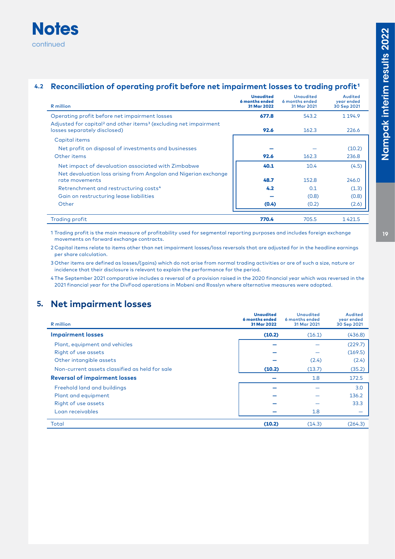## **Notes** continued

## 4.2 **Reconciliation of operating profit before net impairment losses to trading profit<sup>1</sup>**

| <b>R</b> million                                                                                                         | <b>Unaudited</b><br>6 months ended<br>31 Mar 2022 | Unaudited<br>6 months ended<br>31 Mar 2021 | Audited<br>year ended<br>30 Sep 2021 |
|--------------------------------------------------------------------------------------------------------------------------|---------------------------------------------------|--------------------------------------------|--------------------------------------|
| Operating profit before net impairment losses                                                                            | 677.8                                             | 543.2                                      | 1 1 9 4.9                            |
| Adjusted for capital <sup>2</sup> and other items <sup>3</sup> (excluding net impairment<br>losses separately disclosed) | 92.6                                              | 162.3                                      | 226.6                                |
| Capital items                                                                                                            |                                                   |                                            |                                      |
| Net profit on disposal of investments and businesses                                                                     |                                                   |                                            | (10.2)                               |
| Other items                                                                                                              | 92.6                                              | 162.3                                      | 236.8                                |
| Net impact of devaluation associated with Zimbabwe                                                                       | 40.1                                              | 10.4                                       | (4.5)                                |
| Net devaluation loss arising from Angolan and Nigerian exchange<br>rate movements                                        | 48.7                                              | 152.8                                      | 246.0                                |
| Retrenchment and restructuring costs <sup>4</sup>                                                                        | 4.2                                               | 0.1                                        | (1.3)                                |
| Gain on restructuring lease liabilities                                                                                  |                                                   | (0.8)                                      | (0.8)                                |
| Other                                                                                                                    | (0.4)                                             | (0.2)                                      | (2.6)                                |
| <b>Trading profit</b>                                                                                                    | 770.4                                             | 705.5                                      | 1421.5                               |

1 Trading profit is the main measure of profitability used for segmental reporting purposes and includes foreign exchange movements on forward exchange contracts.

2 Capital items relate to items other than net impairment losses/loss reversals that are adjusted for in the headline earnings per share calculation.

3 Other items are defined as losses/(gains) which do not arise from normal trading activities or are of such a size, nature or incidence that their disclosure is relevant to explain the performance for the period.

4 The September 2021 comparative includes a reversal of a provision raised in the 2020 financial year which was reversed in the 2021 financial year for the DivFood operations in Mobeni and Rosslyn where alternative measures were adopted.

## **5. Net impairment losses**

| R million                                      | <b>Unaudited</b><br>6 months ended<br>31 Mar 2022 | <b>Unaudited</b><br>6 months ended<br>31 Mar 2021 | <b>Audited</b><br>year ended<br>30 Sep 2021 |
|------------------------------------------------|---------------------------------------------------|---------------------------------------------------|---------------------------------------------|
| <b>Impairment losses</b>                       | (10.2)                                            | (16.1)                                            | (436.8)                                     |
| Plant, equipment and vehicles                  |                                                   |                                                   | (229.7)                                     |
| Right of use assets                            |                                                   |                                                   | (169.5)                                     |
| Other intangible assets                        |                                                   | (2.4)                                             | (2.4)                                       |
| Non-current assets classified as held for sale | (10.2)                                            | (13.7)                                            | (35.2)                                      |
| <b>Reversal of impairment losses</b>           |                                                   | 1.8                                               | 172.5                                       |
| Freehold land and buildings                    |                                                   |                                                   | 3.0                                         |
| Plant and equipment                            |                                                   |                                                   | 136.2                                       |
| Right of use assets                            |                                                   |                                                   | 33.3                                        |
| Loan receivables                               |                                                   | 1.8                                               |                                             |
| Total                                          | (10.2)                                            | (14.3)                                            | (264.3)                                     |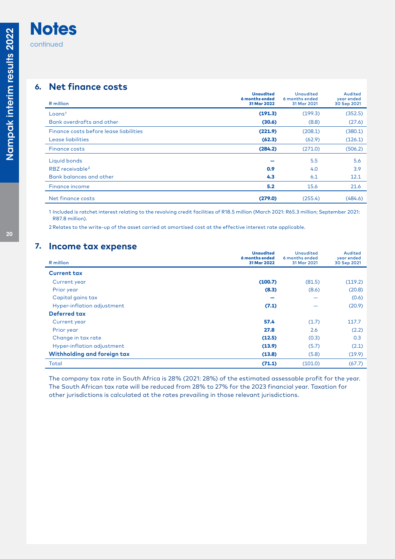## **6. Net finance costs**

| R million                              | <b>Unaudited</b><br>6 months ended<br>31 Mar 2022 | <b>Unaudited</b><br>6 months ended<br>31 Mar 2021 | Audited<br>year ended<br>30 Sep 2021 |
|----------------------------------------|---------------------------------------------------|---------------------------------------------------|--------------------------------------|
| L <sub>oans<sup>1</sup></sub>          | (191.3)                                           | (199.3)                                           | (352.5)                              |
| Bank overdrafts and other              | (30.6)                                            | (8.8)                                             | (27.6)                               |
| Finance costs before lease liabilities | (221.9)                                           | (208.1)                                           | (380.1)                              |
| Lease liabilities                      | (62.3)                                            | (62.9)                                            | (126.1)                              |
| <b>Finance costs</b>                   | (284.2)                                           | (271.0)                                           | (506.2)                              |
| Liquid bonds                           |                                                   | 5.5                                               | 5.6                                  |
| RBZ receivable <sup>2</sup>            | 0.9                                               | 4.0                                               | 3.9                                  |
| <b>Bank balances and other</b>         | 4.3                                               | 6.1                                               | 12.1                                 |
| Finance income                         | 5.2                                               | 15.6                                              | 21.6                                 |
| Net finance costs                      | (279.0)                                           | (255.4)                                           | (484.6)                              |

1 Included is ratchet interest relating to the revolving credit facilities of R18.5 million (March 2021: R65.3 million; September 2021: R87.8 million).

2 Relates to the write-up of the asset carried at amortised cost at the effective interest rate applicable.

### **7. Income tax expense**

|                             | <b>Unaudited</b><br>6 months ended | <b>Unaudited</b><br>6 months ended | Audited<br>year ended |
|-----------------------------|------------------------------------|------------------------------------|-----------------------|
| <b>R</b> million            | 31 Mar 2022                        | 31 Mar 2021                        | 30 Sep 2021           |
| <b>Current tax</b>          |                                    |                                    |                       |
| Current year                | (100.7)                            | (81.5)                             | (119.2)               |
| Prior year                  | (8.3)                              | (8.6)                              | (20.8)                |
| Capital gains tax           |                                    |                                    | (0.6)                 |
| Hyper-inflation adjustment  | (7.1)                              |                                    | (20.9)                |
| Deferred tax                |                                    |                                    |                       |
| Current year                | 57.4                               | (1.7)                              | 117.7                 |
| Prior year                  | 27.8                               | 2.6                                | (2.2)                 |
| Change in tax rate          | (12.5)                             | (0.3)                              | 0.3                   |
| Hyper-inflation adjustment  | (13.9)                             | (5.7)                              | (2.1)                 |
| Withholding and foreign tax | (13.8)                             | (5.8)                              | (19.9)                |
| Total                       | (71.1)                             | (101.0)                            | (67.7)                |

The company tax rate in South Africa is 28% (2021: 28%) of the estimated assessable profit for the year. The South African tax rate will be reduced from 28% to 27% for the 2023 financial year. Taxation for other jurisdictions is calculated at the rates prevailing in those relevant jurisdictions.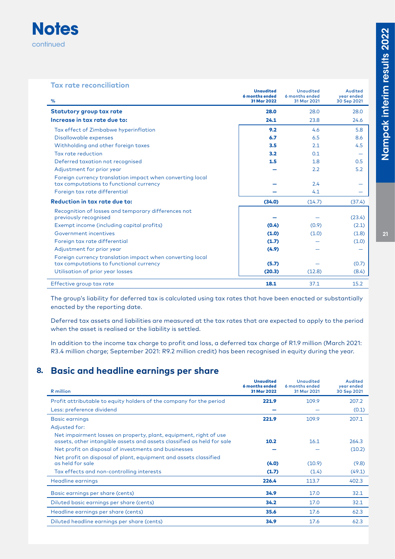

#### **Tax rate reconciliation**

| %                                                                                                    | <b>Unaudited</b><br>6 months ended<br>31 Mar 2022 | <b>Unaudited</b><br>6 months ended<br>31 Mar 2021 | Audited<br>year ended<br>30 Sep 2021 |
|------------------------------------------------------------------------------------------------------|---------------------------------------------------|---------------------------------------------------|--------------------------------------|
| <b>Statutory group tax rate</b>                                                                      | 28.0                                              | 28.0                                              | 28.0                                 |
| Increase in tax rate due to:                                                                         | 24.1                                              | 23.8                                              | 24.6                                 |
| Tax effect of Zimbabwe hyperinflation                                                                | 9.2                                               | 4.6                                               | 5.8                                  |
| Disallowable expenses                                                                                | 6.7                                               | 6.5                                               | 8.6                                  |
| Withholding and other foreign taxes                                                                  | 3.5                                               | 2.1                                               | 4.5                                  |
| Tax rate reduction                                                                                   | 3.2                                               | 0.1                                               |                                      |
| Deferred taxation not recognised                                                                     | 1.5                                               | 1.8                                               | 0.5                                  |
| Adjustment for prior year                                                                            |                                                   | 2.2                                               | 5.2                                  |
| Foreign currency translation impact when converting local<br>tax computations to functional currency |                                                   | 2.4                                               |                                      |
| Foreign tax rate differential                                                                        |                                                   | 4.1                                               |                                      |
| Reduction in tax rate due to:                                                                        | (34.0)                                            | (14.7)                                            | (37.4)                               |
| Recognition of losses and temporary differences not<br>previously recognised                         |                                                   |                                                   | (23.4)                               |
| Exempt income (including capital profits)                                                            | (0.4)                                             | (0.9)                                             | (2.1)                                |
| Government incentives                                                                                | (1.0)                                             | (1.0)                                             | (1.8)                                |
| Foreign tax rate differential                                                                        | (1.7)                                             |                                                   | (1.0)                                |
| Adjustment for prior year                                                                            | (4.9)                                             |                                                   |                                      |
| Foreign currency translation impact when converting local                                            |                                                   |                                                   |                                      |
| tax computations to functional currency                                                              | (5.7)                                             |                                                   | (0.7)                                |
| Utilisation of prior year losses                                                                     | (20.3)                                            | (12.8)                                            | (8.4)                                |
| Effective group tax rate                                                                             | 18.1                                              | 37.1                                              | 15.2                                 |

The group's liability for deferred tax is calculated using tax rates that have been enacted or substantially enacted by the reporting date.

Deferred tax assets and liabilities are measured at the tax rates that are expected to apply to the period when the asset is realised or the liability is settled.

In addition to the income tax charge to profit and loss, a deferred tax charge of R1.9 million (March 2021: R3.4 million charge; September 2021: R9.2 million credit) has been recognised in equity during the year.

## **8. Basic and headline earnings per share**

| R million                                                                                                                                   | <b>Unaudited</b><br>6 months ended<br>31 Mar 2022 | <b>Unaudited</b><br>6 months ended<br>31 Mar 2021 | Audited<br>year ended<br>30 Sep 2021 |
|---------------------------------------------------------------------------------------------------------------------------------------------|---------------------------------------------------|---------------------------------------------------|--------------------------------------|
| Profit attributable to equity holders of the company for the period                                                                         | 221.9                                             | 109.9                                             | 207.2                                |
| Less: preference dividend                                                                                                                   |                                                   |                                                   | (0.1)                                |
| <b>Basic earnings</b>                                                                                                                       | 221.9                                             | 109.9                                             | 207.1                                |
| Adjusted for:                                                                                                                               |                                                   |                                                   |                                      |
| Net impairment losses on property, plant, equipment, right of use<br>assets, other intangible assets and assets classified as held for sale | 10.2                                              | 16.1                                              | 264.3                                |
| Net profit on disposal of investments and businesses                                                                                        |                                                   |                                                   | (10.2)                               |
| Net profit on disposal of plant, equipment and assets classified<br>as held for sale                                                        | (4.0)                                             | (10.9)                                            | (9.8)                                |
| Tax effects and non-controlling interests                                                                                                   | (1.7)                                             | (1.4)                                             | (49.1)                               |
| Headline earnings                                                                                                                           | 226.4                                             | 113.7                                             | 402.3                                |
| Basic earnings per share (cents)                                                                                                            | 34.9                                              | 17.0                                              | 32.1                                 |
| Diluted basic earnings per share (cents)                                                                                                    | 34.2                                              | 17.0                                              | 32.1                                 |
| Headline earnings per share (cents)                                                                                                         | 35.6                                              | 17.6                                              | 62.3                                 |
| Diluted headline earnings per share (cents)                                                                                                 | 34.9                                              | 17.6                                              | 62.3                                 |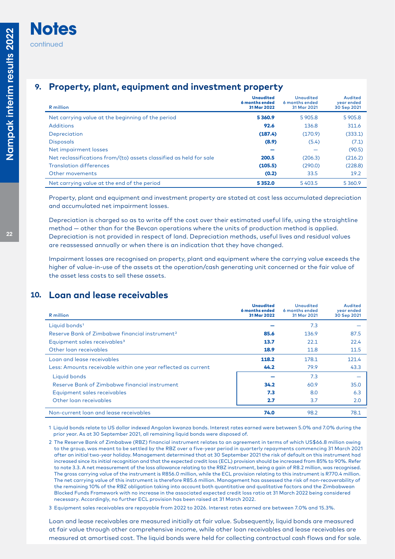## **9. Property, plant, equipment and investment property**

| R million                                                          | <b>Unaudited</b><br>6 months ended<br>31 Mar 2022 | <b>Unaudited</b><br>6 months ended<br>31 Mar 2021 | Audited<br>year ended<br>30 Sep 2021 |
|--------------------------------------------------------------------|---------------------------------------------------|---------------------------------------------------|--------------------------------------|
| Net carrying value at the beginning of the period                  | 5360.9                                            | 5 905.8                                           | 5 905.8                              |
| <b>Additions</b>                                                   | 92.6                                              | 136.8                                             | 311.6                                |
| Depreciation                                                       | (187.4)                                           | (170.9)                                           | (333.1)                              |
| <b>Disposals</b>                                                   | (8.9)                                             | (5.4)                                             | (7.1)                                |
| Net impairment losses                                              |                                                   |                                                   | (90.5)                               |
| Net reclassifications from/(to) assets classified as held for sale | 200.5                                             | (206.3)                                           | (216.2)                              |
| <b>Translation differences</b>                                     | (105.5)                                           | (290.0)                                           | (228.8)                              |
| Other movements                                                    | (0.2)                                             | 33.5                                              | 19.2                                 |
| Net carrying value at the end of the period                        | 5352.0                                            | 5403.5                                            | 5 360.9                              |

Property, plant and equipment and investment property are stated at cost less accumulated depreciation and accumulated net impairment losses.

Depreciation is charged so as to write off the cost over their estimated useful life, using the straightline method — other than for the Bevcan operations where the units of production method is applied. Depreciation is not provided in respect of land. Depreciation methods, useful lives and residual values are reassessed annually or when there is an indication that they have changed.

Impairment losses are recognised on property, plant and equipment where the carrying value exceeds the higher of value-in-use of the assets at the operation/cash generating unit concerned or the fair value of the asset less costs to sell these assets.

## **10. Loan and lease receivables**

| R million                                                     | <b>Unaudited</b><br>6 months ended<br>31 Mar 2022 | <b>Unaudited</b><br>6 months ended<br>31 Mar 2021 | Audited<br>year ended<br>30 Sep 2021 |
|---------------------------------------------------------------|---------------------------------------------------|---------------------------------------------------|--------------------------------------|
| Liquid bonds <sup>1</sup>                                     |                                                   | 7.3                                               |                                      |
| Reserve Bank of Zimbabwe financial instrument <sup>2</sup>    | 85.6                                              | 136.9                                             | 87.5                                 |
| Equipment sales receivables <sup>3</sup>                      | 13.7                                              | 22.1                                              | 22.4                                 |
| Other loan receivables                                        | 18.9                                              | 11.8                                              | 11.5                                 |
| Loan and lease receivables                                    | 118.2                                             | 178.1                                             | 121.4                                |
| Less: Amounts receivable within one year reflected as current | 44.2                                              | 79.9                                              | 43.3                                 |
| Liquid bonds                                                  |                                                   | 7.3                                               |                                      |
| Reserve Bank of Zimbabwe financial instrument                 | 34.2                                              | 60.9                                              | 35.0                                 |
| Equipment sales receivables                                   | 7.3                                               | 8.0                                               | 6.3                                  |
| Other loan receivables                                        | 2.7                                               | 3.7                                               | 2.0                                  |
| Non-current loan and lease receivables                        | 74.0                                              | 98.2                                              | 78.1                                 |

1 Liquid bonds relate to US dollar indexed Angolan kwanza bonds. Interest rates earned were between 5.0% and 7.0% during the prior year. As at 30 September 2021, all remaining liquid bonds were disposed of.

2 The Reserve Bank of Zimbabwe (RBZ) financial instrument relates to an agreement in terms of which US\$66.8 million owing to the group, was meant to be settled by the RBZ over a five-year period in quarterly repayments commencing 31 March 2021 after an initial two-year holiday. Management determined that at 30 September 2021 the risk of default on this instrument had increased since its initial recognition and that the expected credit loss (ECL) provision should be increased from 85% to 90%. Refer to note 3.3. A net measurement of the loss allowance relating to the RBZ instrument, being a gain of R8.2 million, was recognised. The gross carrying value of the instrument is R856.0 million, while the ECL provision relating to this instrument is R770.4 million. The net carrying value of this instrument is therefore R85.6 million. Management has assessed the risk of non-recoverability of the remaining 10% of the RBZ obligation taking into account both quantitative and qualitative factors and the Zimbabwean Blocked Funds Framework with no increase in the associated expected credit loss ratio at 31 March 2022 being considered necessary. Accordingly, no further ECL provision has been raised at 31 March 2022.

3 Equipment sales receivables are repayable from 2022 to 2026. Interest rates earned are between 7.0% and 15.3%.

Loan and lease receivables are measured initially at fair value. Subsequently, liquid bonds are measured at fair value through other comprehensive income, while other loan receivables and lease receivables are measured at amortised cost. The liquid bonds were held for collecting contractual cash flows and for sale.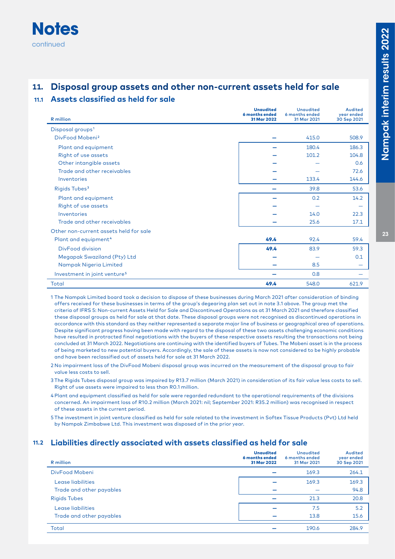## **Notes** continued

## **11. Disposal group assets and other non-current assets held for sale**

#### **11.1 Assets classified as held for sale**

| <b>R</b> million                         | <b>Unaudited</b><br>6 months ended<br>31 Mar 2022 | <b>Unaudited</b><br>6 months ended<br>31 Mar 2021 | <b>Audited</b><br>year ended<br>30 Sep 2021 |
|------------------------------------------|---------------------------------------------------|---------------------------------------------------|---------------------------------------------|
| Disposal groups <sup>1</sup>             |                                                   |                                                   |                                             |
| DivFood Mobeni <sup>2</sup>              |                                                   | 415.0                                             | 508.9                                       |
| Plant and equipment                      |                                                   | 180.4                                             | 186.3                                       |
| Right of use assets                      |                                                   | 101.2                                             | 104.8                                       |
| Other intangible assets                  |                                                   |                                                   | 0.6                                         |
| Trade and other receivables              |                                                   |                                                   | 72.6                                        |
| Inventories                              |                                                   | 133.4                                             | 144.6                                       |
| Rigids Tubes <sup>3</sup>                |                                                   | 39.8                                              | 53.6                                        |
| Plant and equipment                      |                                                   | 0.2                                               | 14.2                                        |
| Right of use assets                      |                                                   |                                                   |                                             |
| Inventories                              |                                                   | 14.0                                              | 22.3                                        |
| Trade and other receivables              |                                                   | 25.6                                              | 17.1                                        |
| Other non-current assets held for sale   |                                                   |                                                   |                                             |
| Plant and equipment <sup>4</sup>         | 49.4                                              | 92.4                                              | 59.4                                        |
| <b>DivFood division</b>                  | 49.4                                              | 83.9                                              | 59.3                                        |
| Megapak Swaziland (Pty) Ltd              |                                                   |                                                   | 0.1                                         |
| Nampak Nigeria Limited                   |                                                   | 8.5                                               |                                             |
| Investment in joint venture <sup>5</sup> |                                                   | 0.8                                               |                                             |
| Total                                    | 49.4                                              | 548.0                                             | 621.9                                       |

1 The Nampak Limited board took a decision to dispose of these businesses during March 2021 after consideration of binding offers received for these businesses in terms of the group's degearing plan set out in note 3.1 above. The group met the criteria of IFRS 5: Non-current Assets Held for Sale and Discontinued Operations as at 31 March 2021 and therefore classified these disposal groups as held for sale at that date. These disposal groups were not recognised as discontinued operations in accordance with this standard as they neither represented a separate major line of business or geographical area of operations. Despite significant progress having been made with regard to the disposal of these two assets challenging economic conditions have resulted in protracted final negotiations with the buyers of these respective assets resulting the transactions not being concluded at 31 March 2022. Negotiations are continuing with the identified buyers of Tubes. The Mobeni asset is in the process of being marketed to new potential buyers. Accordingly, the sale of these assets is now not considered to be highly probable and have been reclassified out of assets held for sale at 31 March 2022.

- 2 No impairment loss of the DivFood Mobeni disposal group was incurred on the measurement of the disposal group to fair value less costs to sell.
- 3 The Rigids Tubes disposal group was impaired by R13.7 million (March 2021) in consideration of its fair value less costs to sell. Right of use assets were impaired to less than R0.1 million.
- 4 Plant and equipment classified as held for sale were regarded redundant to the operational requirements of the divisions concerned. An impairment loss of R10.2 million (March 2021: nil; September 2021: R35.2 million) was recognised in respect of these assets in the current period.
- 5 The investment in joint venture classified as held for sale related to the investment in Softex Tissue Products (Pvt) Ltd held by Nampak Zimbabwe Ltd. This investment was disposed of in the prior year.

#### **11.2 Liabilities directly associated with assets classified as held for sale**

| R million                | <b>Unaudited</b><br>6 months ended<br>31 Mar 2022 | <b>Unaudited</b><br>6 months ended<br>31 Mar 2021 | Audited<br>year ended<br>30 Sep 2021 |
|--------------------------|---------------------------------------------------|---------------------------------------------------|--------------------------------------|
| DivFood Mobeni           |                                                   | 169.3                                             | 264.1                                |
| Lease liabilities        |                                                   | 169.3                                             | 169.3                                |
| Trade and other payables |                                                   |                                                   | 94.8                                 |
| <b>Rigids Tubes</b>      |                                                   | 21.3                                              | 20.8                                 |
| Lease liabilities        |                                                   | 7.5                                               | 5.2                                  |
| Trade and other payables |                                                   | 13.8                                              | 15.6                                 |
| Total                    |                                                   | 190.6                                             | 284.9                                |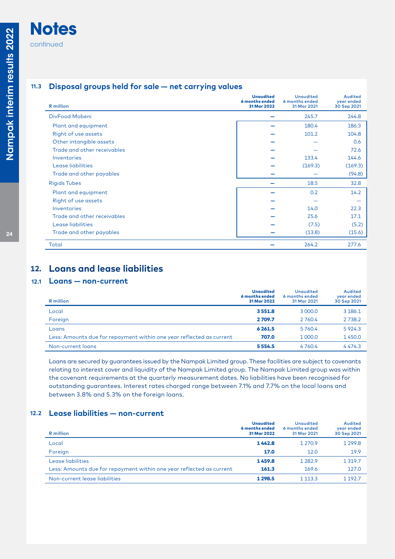## **Notes** continued

### **11.3 Disposal groups held for sale — net carrying values**

| <b>R</b> million            | <b>Unaudited</b><br>6 months ended<br>31 Mar 2022 | <b>Unaudited</b><br>6 months ended<br>31 Mar 2021 | Audited<br>year ended<br>30 Sep 2021 |
|-----------------------------|---------------------------------------------------|---------------------------------------------------|--------------------------------------|
| DivFood Mobeni              |                                                   | 245.7                                             | 244.8                                |
| Plant and equipment         |                                                   | 180.4                                             | 186.3                                |
| Right of use assets         |                                                   | 101.2                                             | 104.8                                |
| Other intangible assets     |                                                   |                                                   | 0.6                                  |
| Trade and other receivables |                                                   |                                                   | 72.6                                 |
| Inventories                 |                                                   | 133.4                                             | 144.6                                |
| Lease liabilities           |                                                   | (169.3)                                           | (169.3)                              |
| Trade and other payables    |                                                   |                                                   | (94.8)                               |
| <b>Rigids Tubes</b>         |                                                   | 18.5                                              | 32.8                                 |
| Plant and equipment         |                                                   | 0.2                                               | 14.2                                 |
| Right of use assets         |                                                   |                                                   |                                      |
| Inventories                 |                                                   | 14.0                                              | 22.3                                 |
| Trade and other receivables |                                                   | 25.6                                              | 17.1                                 |
| Lease liabilities           |                                                   | (7.5)                                             | (5.2)                                |
| Trade and other payables    |                                                   | (13.8)                                            | (15.6)                               |
| Total                       |                                                   | 264.2                                             | 277.6                                |

## **12. Loans and lease liabilities**

#### **12.1 Loans — non-current**

| R million                                                            | <b>Unaudited</b><br>6 months ended<br>31 Mar 2022 | <b>Unaudited</b><br>6 months ended<br>31 Mar 2021 | Audited<br>year ended<br>30 Sep 2021 |
|----------------------------------------------------------------------|---------------------------------------------------|---------------------------------------------------|--------------------------------------|
| Local                                                                | 3551.8                                            | 3 000.0                                           | 3 186.1                              |
| Foreign                                                              | 2709.7                                            | 2 760.4                                           | 2 7 3 8.2                            |
| Loans                                                                | 6 2 6 1.5                                         | 5760.4                                            | 5 9 2 4.3                            |
| Less: Amounts due for repayment within one year reflected as current | 707.0                                             | 1 000.0                                           | 1450.0                               |
| Non-current loans                                                    | 5554.5                                            | 4760.4                                            | 4474.3                               |

Loans are secured by guarantees issued by the Nampak Limited group. These facilities are subject to covenants relating to interest cover and liquidity of the Nampak Limited group. The Nampak Limited group was within the covenant requirements at the quarterly measurement dates. No liabilities have been recognised for outstanding guarantees. Interest rates charged range between 7.1% and 7.7% on the local loans and between 3.8% and 5.3% on the foreign loans.

#### **12.2 Lease liabilities — non-current**

| <b>R</b> million                                                     | <b>Unaudited</b><br>6 months ended<br>31 Mar 2022 | <b>Unaudited</b><br>6 months ended<br>31 Mar 2021 | Audited<br>year ended<br>30 Sep 2021 |
|----------------------------------------------------------------------|---------------------------------------------------|---------------------------------------------------|--------------------------------------|
| Local                                                                | 1442.8                                            | 1 2 7 0.9                                         | 1 2 9 9.8                            |
| Foreign                                                              | 17.0                                              | 12.0                                              | 19.9                                 |
| Lease liabilities                                                    | 1459.8                                            | 1 2 8 2.9                                         | 1 3 1 9 . 7                          |
| Less: Amounts due for repayment within one year reflected as current | 161.3                                             | 169.6                                             | 127.0                                |
| Non-current lease liabilities                                        | 1 2 9 8.5                                         | 1 1 1 3 . 3                                       | 1 1 9 2.7                            |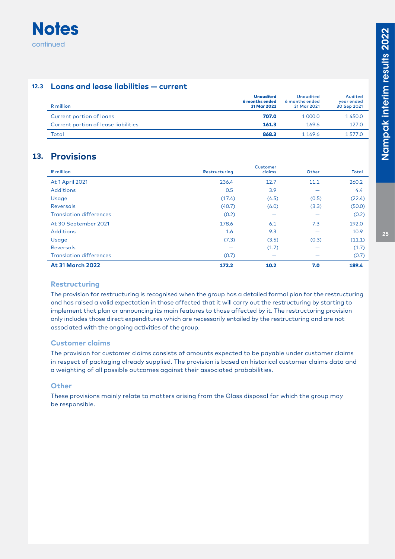

#### **12.3 Loans and lease liabilities — current**

| R million                            | <b>Unaudited</b><br>6 months ended<br>31 Mar 2022 | <b>Unaudited</b><br>6 months ended<br>31 Mar 2021 | Audited<br>year ended<br>30 Sep 2021 |
|--------------------------------------|---------------------------------------------------|---------------------------------------------------|--------------------------------------|
| Current portion of loans             | 707.0                                             | 1 000.0                                           | 1450.0                               |
| Current portion of lease liabilities | 161.3                                             | 169.6                                             | 127.0                                |
| Total                                | 868.3                                             | 1 169.6                                           | 1577.0                               |

## **13. Provisions**

| R million                      | Restructuring | <b>Customer</b><br>claims | Other | <b>Total</b> |
|--------------------------------|---------------|---------------------------|-------|--------------|
| At 1 April 2021                | 236.4         | 12.7                      | 11.1  | 260.2        |
| <b>Additions</b>               | 0.5           | 3.9                       |       | 4.4          |
| Usage                          | (17.4)        | (4.5)                     | (0.5) | (22.4)       |
| Reversals                      | (40.7)        | (6.0)                     | (3.3) | (50.0)       |
| <b>Translation differences</b> | (0.2)         |                           |       | (0.2)        |
| At 30 September 2021           | 178.6         | 6.1                       | 7.3   | 192.0        |
| <b>Additions</b>               | 1.6           | 9.3                       |       | 10.9         |
| Usage                          | (7.3)         | (3.5)                     | (0.3) | (11.1)       |
| <b>Reversals</b>               |               | (1.7)                     |       | (1.7)        |
| <b>Translation differences</b> | (0.7)         | $\overline{\phantom{0}}$  |       | (0.7)        |
| <b>At 31 March 2022</b>        | 172.2         | 10.2                      | 7.0   | 189.4        |

#### **Restructuring**

The provision for restructuring is recognised when the group has a detailed formal plan for the restructuring and has raised a valid expectation in those affected that it will carry out the restructuring by starting to implement that plan or announcing its main features to those affected by it. The restructuring provision only includes those direct expenditures which are necessarily entailed by the restructuring and are not associated with the ongoing activities of the group.

#### **Customer claims**

The provision for customer claims consists of amounts expected to be payable under customer claims in respect of packaging already supplied. The provision is based on historical customer claims data and a weighting of all possible outcomes against their associated probabilities.

#### **Other**

These provisions mainly relate to matters arising from the Glass disposal for which the group may be responsible.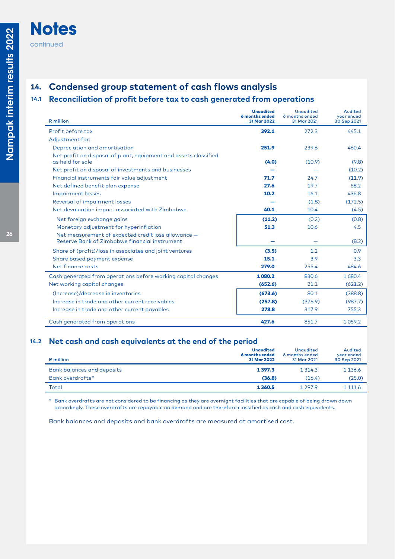## **14. Condensed group statement of cash flows analysis**

## **14.1 Reconciliation of profit before tax to cash generated from operations**

| <b>R</b> million                                                                                     | <b>Unaudited</b><br>6 months ended<br>31 Mar 2022 | <b>Unaudited</b><br>6 months ended<br>31 Mar 2021 | Audited<br>year ended<br>30 Sep 2021 |
|------------------------------------------------------------------------------------------------------|---------------------------------------------------|---------------------------------------------------|--------------------------------------|
| Profit before tax                                                                                    | 392.1                                             | 272.3                                             | 445.1                                |
| Adjustment for:                                                                                      |                                                   |                                                   |                                      |
| Depreciation and amortisation                                                                        | 251.9                                             | 239.6                                             | 460.4                                |
| Net profit on disposal of plant, equipment and assets classified<br>as held for sale                 | (4.0)                                             | (10.9)                                            | (9.8)                                |
| Net profit on disposal of investments and businesses                                                 |                                                   |                                                   | (10.2)                               |
| Financial instruments fair value adjustment                                                          | 71.7                                              | 24.7                                              | (11.9)                               |
| Net defined benefit plan expense                                                                     | 27.6                                              | 19.7                                              | 58.2                                 |
| <b>Impairment losses</b>                                                                             | 10.2                                              | 16.1                                              | 436.8                                |
| Reversal of impairment losses                                                                        |                                                   | (1.8)                                             | (172.5)                              |
| Net devaluation impact associated with Zimbabwe                                                      | 40.1                                              | 10.4                                              | (4.5)                                |
| Net foreign exchange gains                                                                           | (11.2)                                            | (0.2)                                             | (0.8)                                |
| Monetary adjustment for hyperinflation                                                               | 51.3                                              | 10.6                                              | 4.5                                  |
| Net measurement of expected credit loss allowance -<br>Reserve Bank of Zimbabwe financial instrument |                                                   |                                                   | (8.2)                                |
| Share of (profit)/loss in associates and joint ventures                                              | (3.5)                                             | 1.2                                               | 0.9                                  |
| Share based payment expense                                                                          | 15.1                                              | 3.9                                               | 3.3                                  |
| Net finance costs                                                                                    | 279.0                                             | 255.4                                             | 484.6                                |
| Cash generated from operations before working capital changes                                        | 1080.2                                            | 830.6                                             | 1680.4                               |
| Net working capital changes                                                                          | (652.6)                                           | 21.1                                              | (621.2)                              |
| (Increase)/decrease in inventories                                                                   | (673.6)                                           | 80.1                                              | (388.8)                              |
| Increase in trade and other current receivables                                                      | (257.8)                                           | (376.9)                                           | (987.7)                              |
| Increase in trade and other current payables                                                         | 278.8                                             | 317.9                                             | 755.3                                |
| Cash generated from operations                                                                       | 427.6                                             | 851.7                                             | 1059.2                               |

#### **14.2 Net cash and cash equivalents at the end of the period**

| R million                  | <b>Unaudited</b><br>6 months ended<br>31 Mar 2022 | <b>Unaudited</b><br>6 months ended<br>31 Mar 2021 | Audited<br>year ended<br>30 Sep 2021 |
|----------------------------|---------------------------------------------------|---------------------------------------------------|--------------------------------------|
| Bank balances and deposits | 1397.3                                            | 1 3 1 4 .3                                        | 1 1 3 6 . 6                          |
| Bank overdrafts*           | (36.8)                                            | (16.4)                                            | (25.0)                               |
| Total                      | 1 3 6 0.5                                         | 1 2 9 7 . 9                                       | 1 111.6                              |

\* Bank overdrafts are not considered to be financing as they are overnight facilities that are capable of being drawn down accordingly. These overdrafts are repayable on demand and are therefore classified as cash and cash equivalents.

Bank balances and deposits and bank overdrafts are measured at amortised cost.

**Notes**

continued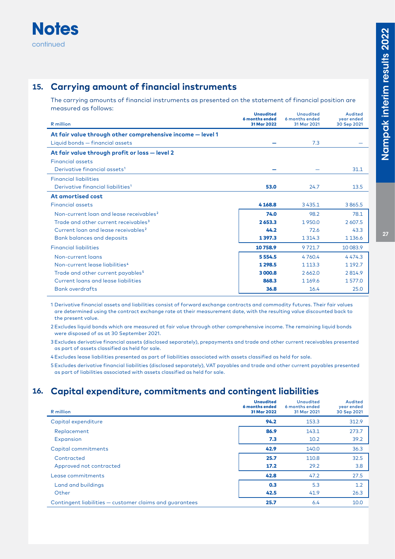

## **15. Carrying amount of financial instruments**

The carrying amounts of financial instruments as presented on the statement of financial position are measured as follows:

| R million                                                  | <b>Unaudited</b><br>6 months ended<br>31 Mar 2022 | <b>Unaudited</b><br>6 months ended<br>31 Mar 2021 | Audited<br>year ended<br>30 Sep 2021 |
|------------------------------------------------------------|---------------------------------------------------|---------------------------------------------------|--------------------------------------|
| At fair value through other comprehensive income - level 1 |                                                   |                                                   |                                      |
| Liquid bonds - financial assets                            |                                                   | 7.3                                               |                                      |
| At fair value through profit or loss - level 2             |                                                   |                                                   |                                      |
| <b>Financial assets</b>                                    |                                                   |                                                   |                                      |
| Derivative financial assets <sup>1</sup>                   |                                                   |                                                   | 31.1                                 |
| <b>Financial liabilities</b>                               |                                                   |                                                   |                                      |
| Derivative financial liabilities <sup>1</sup>              | 53.0                                              | 24.7                                              | 13.5                                 |
| At amortised cost                                          |                                                   |                                                   |                                      |
| <b>Financial assets</b>                                    | 4168.8                                            | 3435.1                                            | 3865.5                               |
| Non-current loan and lease receivables <sup>2</sup>        | 74.0                                              | 98.2                                              | 78.1                                 |
| Trade and other current receivables <sup>3</sup>           | 2653.3                                            | 1950.0                                            | 2 607.5                              |
| Current loan and lease receivables <sup>2</sup>            | 44.2                                              | 72.6                                              | 43.3                                 |
| <b>Bank balances and deposits</b>                          | 1397.3                                            | 1 3 1 4 . 3                                       | 1 1 3 6 . 6                          |
| <b>Financial liabilities</b>                               | 10758.9                                           | 9721.7                                            | 10 083.9                             |
| Non-current loans                                          | 5554.5                                            | 4760.4                                            | 4474.3                               |
| Non-current lease liabilities <sup>4</sup>                 | 1298.5                                            | 1 1 1 3 . 3                                       | 1 1 9 2.7                            |
| Trade and other current payables <sup>5</sup>              | 3000.8                                            | 2662.0                                            | 2814.9                               |
| Current loans and lease liabilities                        | 868.3                                             | 1 1 6 9 . 6                                       | 1577.0                               |
| <b>Bank overdrafts</b>                                     | 36.8                                              | 16.4                                              | 25.0                                 |

1 Derivative financial assets and liabilities consist of forward exchange contracts and commodity futures. Their fair values are determined using the contract exchange rate at their measurement date, with the resulting value discounted back to the present value.

2 Excludes liquid bonds which are measured at fair value through other comprehensive income. The remaining liquid bonds were disposed of as at 30 September 2021.

3 Excludes derivative financial assets (disclosed separately), prepayments and trade and other current receivables presented as part of assets classified as held for sale.

4 Excludes lease liabilities presented as part of liabilities associated with assets classified as held for sale.

5 Excludes derivative financial liabilities (disclosed separately), VAT payables and trade and other current payables presented as part of liabilities associated with assets classified as held for sale.

## **16. Capital expenditure, commitments and contingent liabilities**

| R million                                               | <b>Unaudited</b><br>6 months ended<br>31 Mar 2022 | <b>Unaudited</b><br>6 months ended<br>31 Mar 2021 | Audited<br>year ended<br>30 Sep 2021 |
|---------------------------------------------------------|---------------------------------------------------|---------------------------------------------------|--------------------------------------|
| Capital expenditure                                     | 94.2                                              | 153.3                                             | 312.9                                |
| Replacement                                             | 86.9                                              | 143.1                                             | 273.7                                |
| Expansion                                               | 7.3                                               | 10.2                                              | 39.2                                 |
| Capital commitments                                     | 42.9                                              | 140.0                                             | 36.3                                 |
| Contracted                                              | 25.7                                              | 110.8                                             | 32.5                                 |
| Approved not contracted                                 | 17.2                                              | 29.2                                              | 3.8                                  |
| Lease commitments                                       | 42.8                                              | 47.2                                              | 27.5                                 |
| Land and buildings                                      | 0.3                                               | 5.3                                               | 1.2                                  |
| Other                                                   | 42.5                                              | 41.9                                              | 26.3                                 |
| Contingent liabilities - customer claims and quarantees | 25.7                                              | 6.4                                               | 10.0                                 |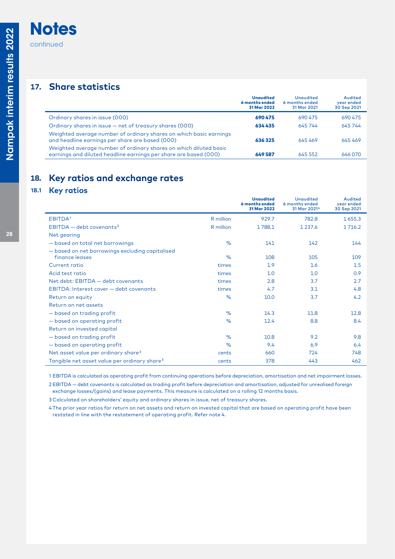## **Notes** continued

## **17. Share statistics**

|                                                                                                                                       | <b>Unaudited</b><br>6 months ended<br>31 Mar 2022 | <b>Unaudited</b><br>6 months ended<br>31 Mar 2021 | Audited<br>year ended<br>30 Sep 2021 |
|---------------------------------------------------------------------------------------------------------------------------------------|---------------------------------------------------|---------------------------------------------------|--------------------------------------|
| Ordinary shares in issue (000)                                                                                                        | 690 475                                           | 690 475                                           | 690 475                              |
| Ordinary shares in issue - net of treasury shares (000)                                                                               | 634435                                            | 645 744                                           | 645744                               |
| Weighted average number of ordinary shares on which basic earnings<br>and headline earnings per share are based (000)                 | 636325                                            | 645469                                            | 645469                               |
| Weighted average number of ordinary shares on which diluted basic<br>earnings and diluted headline earnings per share are based (000) | 649 587                                           | 645 552                                           | 646,070                              |

## **18. Key ratios and exchange rates**

## **18.1 Key ratios**

|                                                                   |           | <b>Unaudited</b><br>6 months ended<br>31 Mar 2022 | <b>Unaudited</b><br>6 months ended<br>31 Mar 2021 <sup>4</sup> | Audited<br>year ended<br>30 Sep 2021 |
|-------------------------------------------------------------------|-----------|---------------------------------------------------|----------------------------------------------------------------|--------------------------------------|
| EBITDA <sup>1</sup>                                               | R million | 929.7                                             | 782.8                                                          | 1655.3                               |
| $EBITDA - debt coverants2$                                        | R million | 1788.1                                            | 1 2 3 7 . 6                                                    | 1716.2                               |
| Net gearing                                                       |           |                                                   |                                                                |                                      |
| - based on total net borrowings                                   | $\%$      | 141                                               | 142                                                            | 144                                  |
| - based on net borrowings excluding capitalised<br>finance leases | $\%$      | 108                                               | 105                                                            | 109                                  |
| Current ratio                                                     | times     | 1.9                                               | 1.6                                                            | 1.5                                  |
| Acid test ratio                                                   | times     | 1.0                                               | 1.0                                                            | 0.9                                  |
| Net debt: EBITDA - debt covenants                                 | times     | 2.8                                               | 3.7                                                            | 2.7                                  |
| EBITDA: Interest cover - debt covenants                           | times     | 4.7                                               | 3.1                                                            | 4.8                                  |
| Return on equity                                                  | $\%$      | 10.0                                              | 3.7                                                            | 4.2                                  |
| Return on net assets                                              |           |                                                   |                                                                |                                      |
| - based on trading profit                                         | $\%$      | 14.3                                              | 11.8                                                           | 12.8                                 |
| - based on operating profit                                       | $\%$      | 12.4                                              | 8.8                                                            | 8.4                                  |
| Return on invested capital                                        |           |                                                   |                                                                |                                      |
| - based on trading profit                                         | $\%$      | 10.8                                              | 9.2                                                            | 9.8                                  |
| - based on operating profit                                       | $\%$      | 9.4                                               | 6.9                                                            | 6.4                                  |
| Net asset value per ordinary share <sup>3</sup>                   | cents     | 660                                               | 724                                                            | 748                                  |
| Tangible net asset value per ordinary share <sup>3</sup>          | cents     | 378                                               | 443                                                            | 462                                  |

1 EBITDA is calculated as operating profit from continuing operations before depreciation, amortisation and net impairment losses.

2 EBITDA — debt covenants is calculated as trading profit before depreciation and amortisation, adjusted for unrealised foreign exchange losses/(gains) and lease payments. This measure is calculated on a rolling 12 months basis.

3 Calculated on shareholders' equity and ordinary shares in issue, net of treasury shares.

4 The prior year ratios for return on net assets and return on invested capital that are based on operating profit have been restated in line with the restatement of operating profit. Refer note 4.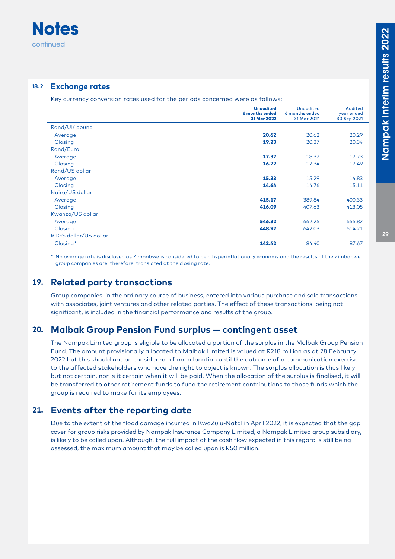

#### **18.2 Exchange rates**

Key currency conversion rates used for the periods concerned were as follows:

|                       | <b>Unaudited</b><br>6 months ended<br>31 Mar 2022 | <b>Unaudited</b><br>6 months ended<br>31 Mar 2021 | Audited<br>year ended<br>30 Sep 2021 |
|-----------------------|---------------------------------------------------|---------------------------------------------------|--------------------------------------|
| Rand/UK pound         |                                                   |                                                   |                                      |
| Average               | 20.62                                             | 20.62                                             | 20.29                                |
| Closing               | 19.23                                             | 20.37                                             | 20.34                                |
| Rand/Euro             |                                                   |                                                   |                                      |
| Average               | 17.37                                             | 18.32                                             | 17.73                                |
| Closing               | 16.22                                             | 17.34                                             | 17.49                                |
| Rand/US dollar        |                                                   |                                                   |                                      |
| Average               | 15.33                                             | 15.29                                             | 14.83                                |
| Closing               | 14.64                                             | 14.76                                             | 15.11                                |
| Naira/US dollar       |                                                   |                                                   |                                      |
| Average               | 415.17                                            | 389.84                                            | 400.33                               |
| Closing               | 416.09                                            | 407.63                                            | 413.05                               |
| Kwanza/US dollar      |                                                   |                                                   |                                      |
| Average               | 546.32                                            | 662.25                                            | 655.82                               |
| Closing               | 448.92                                            | 642.03                                            | 614.21                               |
| RTGS dollar/US dollar |                                                   |                                                   |                                      |
| Closing*              | 142.42                                            | 84.40                                             | 87.67                                |

\* No average rate is disclosed as Zimbabwe is considered to be a hyperinflationary economy and the results of the Zimbabwe group companies are, therefore, translated at the closing rate.

## **19. Related party transactions**

Group companies, in the ordinary course of business, entered into various purchase and sale transactions with associates, joint ventures and other related parties. The effect of these transactions, being not significant, is included in the financial performance and results of the group.

## **20. Malbak Group Pension Fund surplus — contingent asset**

The Nampak Limited group is eligible to be allocated a portion of the surplus in the Malbak Group Pension Fund. The amount provisionally allocated to Malbak Limited is valued at R218 million as at 28 February 2022 but this should not be considered a final allocation until the outcome of a communication exercise to the affected stakeholders who have the right to object is known. The surplus allocation is thus likely but not certain, nor is it certain when it will be paid. When the allocation of the surplus is finalised, it will be transferred to other retirement funds to fund the retirement contributions to those funds which the group is required to make for its employees.

## **21. Events after the reporting date**

Due to the extent of the flood damage incurred in KwaZulu-Natal in April 2022, it is expected that the gap cover for group risks provided by Nampak Insurance Company Limited, a Nampak Limited group subsidiary, is likely to be called upon. Although, the full impact of the cash flow expected in this regard is still being assessed, the maximum amount that may be called upon is R50 million.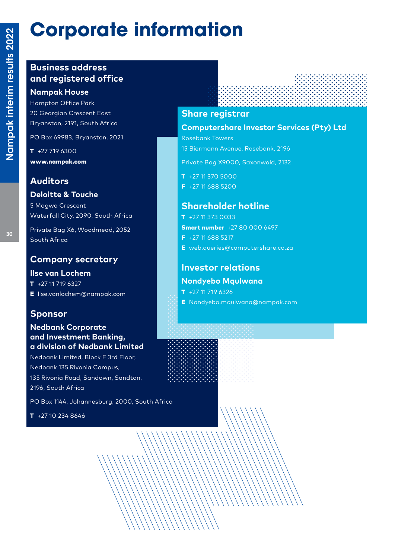# **Corporate information**

## **Business address and registered office**

## **Nampak House**

Hampton Office Park 20 Georgian Crescent East Bryanston, 2191, South Africa

PO Box 69983, Bryanston, 2021

 $T + 277196300$ www.nampak.com

## **Auditors**

### **Deloitte & Touche**

5 Magwa Crescent Waterfall City, 2090, South Africa

Private Bag X6, Woodmead, 2052 South Africa

## **Company secretary**

#### **Ilse van Lochem**  $T + 27 11 719 6327$

E Ilse.vanlochem@nampak.com

## **Sponsor**

#### **Nedbank Corporate and Investment Banking, a division of Nedbank Limited**

Nedbank Limited, Block F 3rd Floor, Nedbank 135 Rivonia Campus, 135 Rivonia Road, Sandown, Sandton, 2196, South Africa

PO Box 1144, Johannesburg, 2000, South Africa

 $T + 27102348646$ 

## **Share registrar**

**Computershare Investor Services (Pty) Ltd**

Rosebank Towers 15 Biermann Avenue, Rosebank, 2196

Private Bag X9000, Saxonwold, 2132

T +27 11 370 5000

F +27 11 688 5200

## **Shareholder hotline**

- $T + 27113730033$ Smart number +27 80 000 6497 F +27 11 688 5217
- E web.queries@computershare.co.za

## **Investor relations**

#### **Nondyebo Mqulwana**

 $T + 27 11 719 6326$ 

E Nondyebo.mqulwana@nampak.com



30